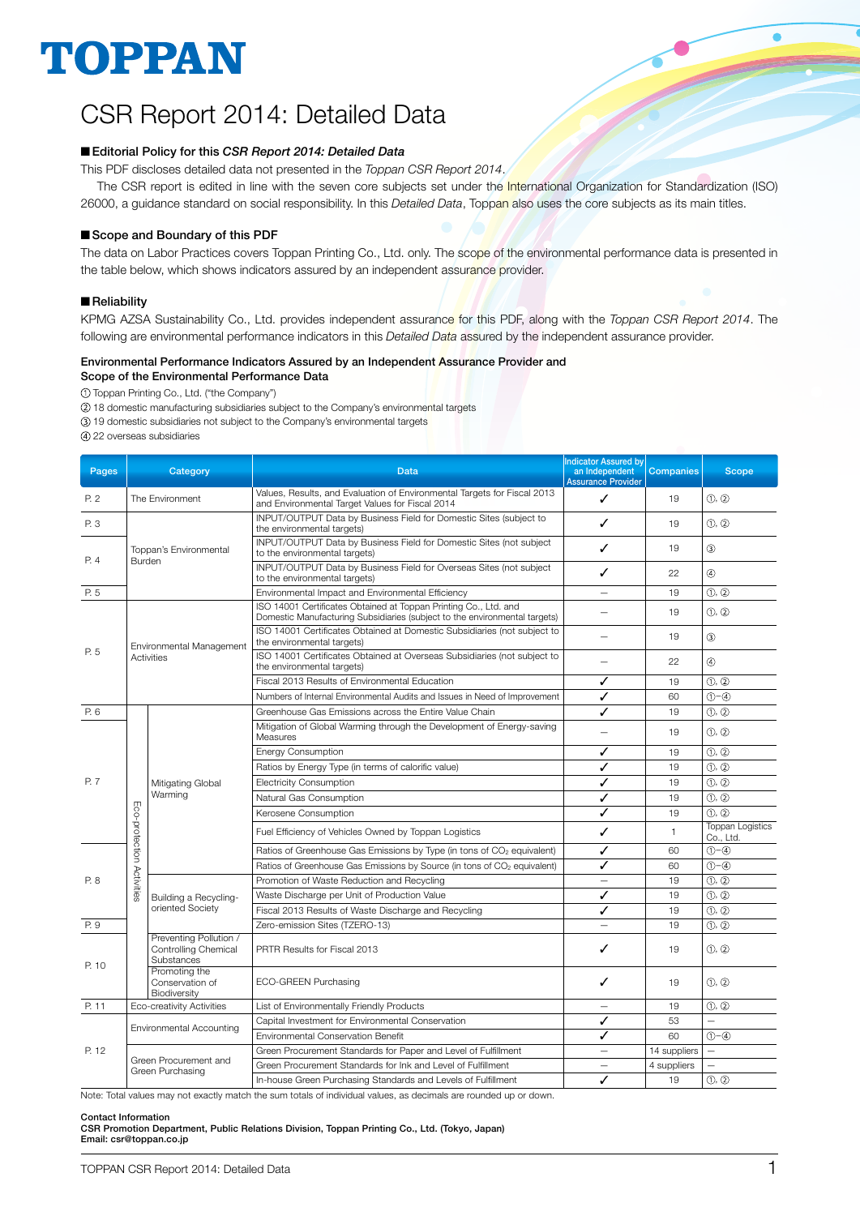# TOPPAN

## CSR Report 2014: Detailed Data

#### ■ Editorial Policy for this *CSR Report 2014: Detailed Data*

This PDF discloses detailed data not presented in the *Toppan CSR Report 2014*.

The CSR report is edited in line with the seven core subjects set under the International Organization for Standardization (ISO) 26000, a guidance standard on social responsibility. In this *Detailed Data*, Toppan also uses the core subjects as its main titles.

#### Scope and Boundary of this PDF

The data on Labor Practices covers Toppan Printing Co., Ltd. only. The scope of the environmental performance data is presented in the table below, which shows indicators assured by an independent assurance provider.

#### **Reliability**

KPMG AZSA Sustainability Co., Ltd. provides independent assurance for this PDF, along with the *Toppan CSR Report 2014*. The following are environmental performance indicators in this *Detailed Data* assured by the independent assurance provider.

## Environmental Performance Indicators Assured by an Independent Assurance Provider and

Scope of the Environmental Performance Data

Toppan Printing Co., Ltd. ("the Company")

18 domestic manufacturing subsidiaries subject to the Company's environmental targets

19 domestic subsidiaries not subject to the Company's environmental targets

22 overseas subsidiaries

| Pages<br>Category<br>Data |                           |                                                              | <b>Indicator Assured by</b><br>an Independent                                                                                                  | <b>Companies</b>                | <b>Scope</b> |                                      |
|---------------------------|---------------------------|--------------------------------------------------------------|------------------------------------------------------------------------------------------------------------------------------------------------|---------------------------------|--------------|--------------------------------------|
|                           |                           |                                                              | Values, Results, and Evaluation of Environmental Targets for Fiscal 2013                                                                       | <b>Assurance Provider</b>       |              |                                      |
| P. 2                      |                           | The Environment                                              | and Environmental Target Values for Fiscal 2014                                                                                                | ✓                               | 19           | (1), (2)                             |
| P. 3                      |                           |                                                              | INPUT/OUTPUT Data by Business Field for Domestic Sites (subject to<br>the environmental targets)                                               | ✓                               | 19           | (1), (2)                             |
| P. 4                      | Burden                    | Toppan's Environmental                                       | INPUT/OUTPUT Data by Business Field for Domestic Sites (not subject<br>to the environmental targets)                                           | ✓                               | 19           | (3)                                  |
|                           |                           |                                                              | INPUT/OUTPUT Data by Business Field for Overseas Sites (not subject<br>to the environmental targets)                                           | ✓                               | 22           | $\circled{4}$                        |
| P. 5                      |                           |                                                              | Environmental Impact and Environmental Efficiency                                                                                              | —                               | 19           | (1), (2)                             |
|                           |                           |                                                              | ISO 14001 Certificates Obtained at Toppan Printing Co., Ltd. and<br>Domestic Manufacturing Subsidiaries (subject to the environmental targets) |                                 | 19           | (1), (2)                             |
|                           |                           | Environmental Management                                     | ISO 14001 Certificates Obtained at Domestic Subsidiaries (not subject to<br>the environmental targets)                                         |                                 | 19           | (3)                                  |
| P. 5                      | Activities                |                                                              | ISO 14001 Certificates Obtained at Overseas Subsidiaries (not subject to<br>the environmental targets)                                         | $\overline{\phantom{0}}$        | 22           | $\circled{4}$                        |
|                           |                           |                                                              | Fiscal 2013 Results of Environmental Education                                                                                                 | ✓                               | 19           | (1), (2)                             |
|                           |                           |                                                              | Numbers of Internal Environmental Audits and Issues in Need of Improvement                                                                     | ✓                               | 60           | $(1) - (4)$                          |
| P. 6                      |                           |                                                              | Greenhouse Gas Emissions across the Entire Value Chain                                                                                         | ✓                               | 19           | (1), (2)                             |
|                           |                           |                                                              | Mitigation of Global Warming through the Development of Energy-saving<br>Measures                                                              |                                 | 19           | (1), (2)                             |
|                           | Eco-protection Activities |                                                              | <b>Energy Consumption</b>                                                                                                                      | ✓                               | 19           | (1), (2)                             |
|                           |                           |                                                              | Ratios by Energy Type (in terms of calorific value)                                                                                            | ✓                               | 19           | (1), (2)                             |
| P. 7                      |                           | Mitigating Global                                            | <b>Electricity Consumption</b>                                                                                                                 | ✓                               | 19           | $\circled{1}, \circled{2}$           |
|                           |                           | Warming                                                      | Natural Gas Consumption                                                                                                                        | ✓                               | 19           | (1, 0)                               |
|                           |                           |                                                              | Kerosene Consumption                                                                                                                           | ✓                               | 19           | (1), (2)                             |
|                           |                           |                                                              | Fuel Efficiency of Vehicles Owned by Toppan Logistics                                                                                          | ✓                               | $\mathbf{1}$ | <b>Toppan Logistics</b><br>Co., Ltd. |
|                           |                           |                                                              | Ratios of Greenhouse Gas Emissions by Type (in tons of CO <sub>2</sub> equivalent)                                                             | ✓                               | 60           | $(1) - (4)$                          |
|                           |                           |                                                              | Ratios of Greenhouse Gas Emissions by Source (in tons of CO <sub>2</sub> equivalent)                                                           | ✓                               | 60           | $(1) - (4)$                          |
| P. 8                      |                           |                                                              | Promotion of Waste Reduction and Recycling                                                                                                     | $\overline{\phantom{0}}$        | 19           | (1), (2)                             |
|                           |                           | Building a Recycling-                                        | Waste Discharge per Unit of Production Value                                                                                                   | ✓                               | 19           | (1, 2)                               |
|                           |                           | oriented Society                                             | Fiscal 2013 Results of Waste Discharge and Recycling                                                                                           | ✓                               | 19           | (1), (2)                             |
| P. 9                      |                           |                                                              | Zero-emission Sites (TZERO-13)                                                                                                                 |                                 | 19           | (1), (2)                             |
| P. 10                     |                           | Preventing Pollution /<br>Controlling Chemical<br>Substances | PRTR Results for Fiscal 2013                                                                                                                   | ✓                               | 19           | $\circled{0}$ , $\circled{2}$        |
|                           |                           | Promoting the<br>Conservation of<br>Biodiversity             | ECO-GREEN Purchasing                                                                                                                           | ✓                               | 19           | (1), (2)                             |
| P. 11                     |                           | Eco-creativity Activities                                    | List of Environmentally Friendly Products                                                                                                      | $\overline{\phantom{0}}$        | 19           | $\circled{1}, \circled{2}$           |
|                           |                           |                                                              | Capital Investment for Environmental Conservation                                                                                              | ✓                               | 53           |                                      |
|                           |                           | <b>Environmental Accounting</b>                              | Environmental Conservation Benefit                                                                                                             | ✓                               | 60           | $(1) - (4)$                          |
| P. 12                     |                           |                                                              | Green Procurement Standards for Paper and Level of Fulfillment                                                                                 | $\overline{\phantom{0}}$        | 14 suppliers | $\overline{\phantom{0}}$             |
|                           |                           | Green Procurement and                                        | Green Procurement Standards for Ink and Level of Fulfillment                                                                                   | $\overbrace{\phantom{1232211}}$ | 4 suppliers  | $\overline{\phantom{0}}$             |
|                           | Green Purchasing          |                                                              | In-house Green Purchasing Standards and Levels of Fulfillment                                                                                  | $\checkmark$                    | 19           | (1, 2)                               |

Note: Total values may not exactly match the sum totals of individual values, as decimals are rounded up or down.

#### Contact Information

CSR Promotion Department, Public Relations Division, Toppan Printing Co., Ltd. (Tokyo, Japan) Email: csr@toppan.co.jp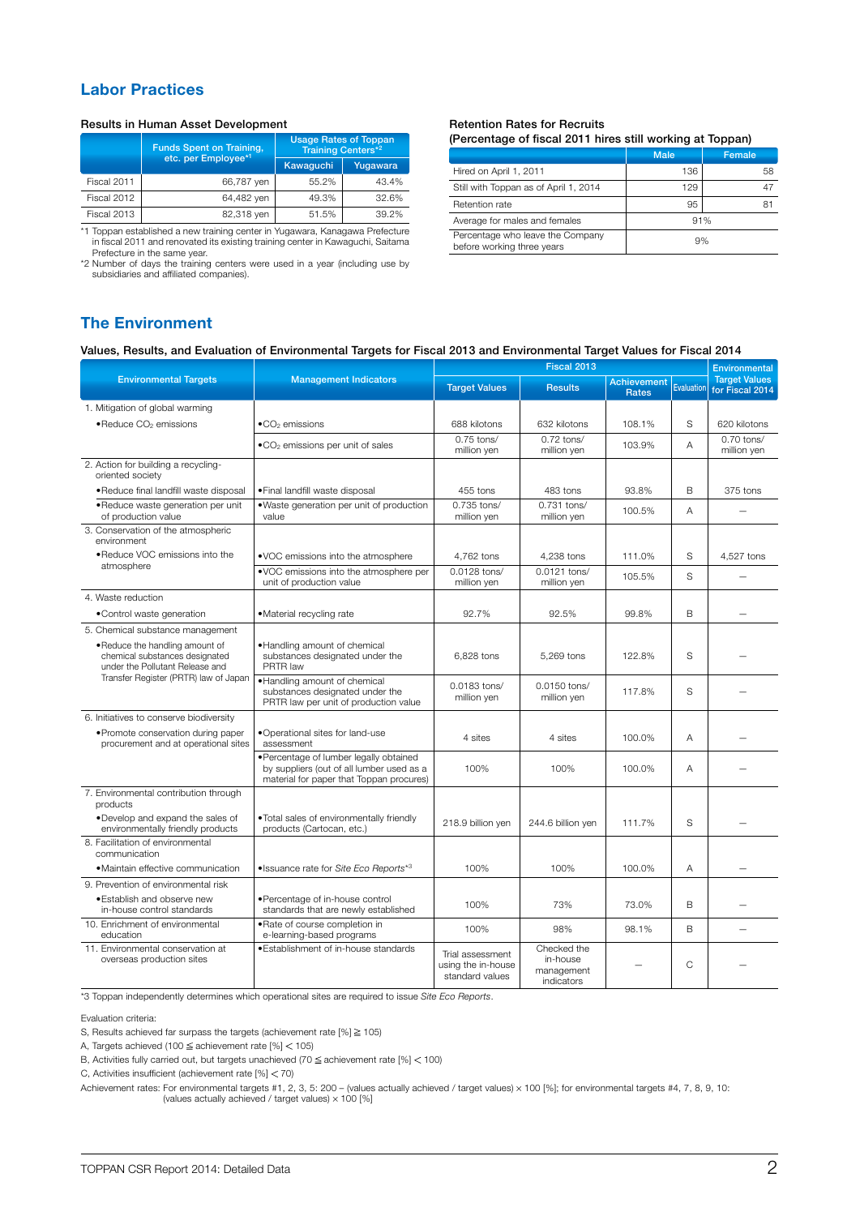## Labor Practices

#### Results in Human Asset Development

|             | <b>Funds Spent on Training,</b> | <b>Usage Rates of Toppan</b><br><b>Training Centers*2</b> |          |  |
|-------------|---------------------------------|-----------------------------------------------------------|----------|--|
|             | etc. per Employee*1             | Kawaguchi                                                 | Yugawara |  |
| Fiscal 2011 | 66,787 yen                      | 55.2%                                                     | 43.4%    |  |
| Fiscal 2012 | 64,482 yen                      | 49.3%                                                     | 32.6%    |  |
| Fiscal 2013 | 82,318 yen                      | 51.5%                                                     | 39.2%    |  |

\*1 Toppan established a new training center in Yugawara, Kanagawa Prefecture in fiscal 2011 and renovated its existing training center in Kawaguchi, Saitama

Prefecture in the same year. \*2 Number of days the training centers were used in a year (including use by subsidiaries and affiliated companies).

#### Retention Rates for Recruits (Percentage of fiscal 2011 hires still working at Toppan)

|                                                                | <b>Male</b> | Female |  |
|----------------------------------------------------------------|-------------|--------|--|
| Hired on April 1, 2011                                         | 136         | 58     |  |
| Still with Toppan as of April 1, 2014                          | 129         | 4/     |  |
| Retention rate                                                 | 95          | 81     |  |
| Average for males and females                                  | 91%         |        |  |
| Percentage who leave the Company<br>before working three years | 9%          |        |  |

## The Environment

| Values, Results, and Evaluation of Environmental Targets for Fiscal 2013 and Environmental Target Values for Fiscal 2014 |  |  |  |
|--------------------------------------------------------------------------------------------------------------------------|--|--|--|
|                                                                                                                          |  |  |  |

|                                                                                                      |                                                                                                                                 | Fiscal 2013                                               |                                                     |                                    |              | Environmental                           |  |
|------------------------------------------------------------------------------------------------------|---------------------------------------------------------------------------------------------------------------------------------|-----------------------------------------------------------|-----------------------------------------------------|------------------------------------|--------------|-----------------------------------------|--|
| <b>Environmental Targets</b>                                                                         | <b>Management Indicators</b>                                                                                                    | <b>Target Values</b>                                      | <b>Results</b>                                      | <b>Achievement</b><br><b>Rates</b> | Evaluation   | <b>Target Values</b><br>for Fiscal 2014 |  |
| 1. Mitigation of global warming                                                                      |                                                                                                                                 |                                                           |                                                     |                                    |              |                                         |  |
| • Reduce CO <sub>2</sub> emissions                                                                   | $\bullet$ CO <sub>2</sub> emissions                                                                                             | 688 kilotons                                              | 632 kilotons                                        | 108.1%                             | S            | 620 kilotons                            |  |
|                                                                                                      | .CO <sub>2</sub> emissions per unit of sales                                                                                    | $0.75$ tons/<br>million yen                               | $0.72$ tons/<br>million yen                         | 103.9%                             | A            | 0.70 tons/<br>million yen               |  |
| 2. Action for building a recycling-<br>oriented society                                              |                                                                                                                                 |                                                           |                                                     |                                    |              |                                         |  |
| • Reduce final landfill waste disposal                                                               | • Final landfill waste disposal                                                                                                 | 455 tons                                                  | 483 tons                                            | 93.8%                              | B            | 375 tons                                |  |
| ·Reduce waste generation per unit<br>of production value                                             | .Waste generation per unit of production<br>value                                                                               | 0.735 tons/<br>million yen                                | 0.731 tons/<br>million yen                          | 100.5%                             | A            |                                         |  |
| 3. Conservation of the atmospheric<br>environment                                                    |                                                                                                                                 |                                                           |                                                     |                                    |              |                                         |  |
| . Reduce VOC emissions into the                                                                      | .VOC emissions into the atmosphere                                                                                              | 4,762 tons                                                | 4,238 tons                                          | 111.0%                             | S            | 4,527 tons                              |  |
| atmosphere                                                                                           | .VOC emissions into the atmosphere per<br>unit of production value                                                              | 0.0128 tons/<br>million yen                               | 0.0121 tons/<br>million yen                         | 105.5%                             | S            |                                         |  |
| 4. Waste reduction                                                                                   |                                                                                                                                 |                                                           |                                                     |                                    |              |                                         |  |
| • Control waste generation                                                                           | • Material recycling rate                                                                                                       | 92.7%                                                     | 92.5%                                               | 99.8%                              | <sub>B</sub> |                                         |  |
| 5. Chemical substance management                                                                     |                                                                                                                                 |                                                           |                                                     |                                    |              |                                         |  |
| . Reduce the handling amount of<br>chemical substances designated<br>under the Pollutant Release and | . Handling amount of chemical<br>substances designated under the<br>PRTR law                                                    | 6,828 tons                                                | 5,269 tons                                          | 122.8%                             | S            |                                         |  |
| Transfer Register (PRTR) law of Japan                                                                | . Handling amount of chemical<br>substances designated under the<br>PRTR law per unit of production value                       | 0.0183 tons/<br>million yen                               | 0.0150 tons/<br>million yen                         | 117.8%                             | S            |                                         |  |
| 6. Initiatives to conserve biodiversity                                                              |                                                                                                                                 |                                                           |                                                     |                                    |              |                                         |  |
| • Promote conservation during paper<br>procurement and at operational sites                          | •Operational sites for land-use<br>assessment                                                                                   | 4 sites                                                   | 4 sites                                             | 100.0%                             | A            |                                         |  |
|                                                                                                      | ·Percentage of lumber legally obtained<br>by suppliers (out of all lumber used as a<br>material for paper that Toppan procures) | 100%                                                      | 100%                                                | 100.0%                             | A            |                                         |  |
| 7. Environmental contribution through<br>products                                                    |                                                                                                                                 |                                                           |                                                     |                                    |              |                                         |  |
| . Develop and expand the sales of<br>environmentally friendly products                               | . Total sales of environmentally friendly<br>products (Cartocan, etc.)                                                          | 218.9 billion yen                                         | 244.6 billion yen                                   | 111.7%                             | S            |                                         |  |
| 8. Facilitation of environmental<br>communication                                                    |                                                                                                                                 |                                                           |                                                     |                                    |              |                                         |  |
| · Maintain effective communication                                                                   | · Issuance rate for Site Eco Reports*3                                                                                          | 100%                                                      | 100%                                                | 100.0%                             | Α            |                                         |  |
| 9. Prevention of environmental risk                                                                  |                                                                                                                                 |                                                           |                                                     |                                    |              |                                         |  |
| • Establish and observe new<br>in-house control standards                                            | ·Percentage of in-house control<br>standards that are newly established                                                         | 100%                                                      | 73%                                                 | 73.0%                              | B            |                                         |  |
| 10. Enrichment of environmental<br>education                                                         | . Rate of course completion in<br>e-learning-based programs                                                                     | 100%                                                      | 98%                                                 | 98.1%                              | B            |                                         |  |
| 11. Environmental conservation at<br>overseas production sites                                       | ·Establishment of in-house standards                                                                                            | Trial assessment<br>using the in-house<br>standard values | Checked the<br>in-house<br>management<br>indicators |                                    | C            |                                         |  |

\*3 Toppan independently determines which operational sites are required to issue *Site Eco Reports*.

Evaluation criteria:

S, Results achieved far surpass the targets (achievement rate  $[%]\geq 105$ )

A, Targets achieved (100  $\leq$  achievement rate [%]  $<$  105)

B, Activities fully carried out, but targets unachieved (70  $\leq$  achievement rate [%]  $<$  100)

C, Activities insufficient (achievement rate  $[%] < 70$ )

Achievement rates: For environmental targets #1, 2, 3, 5: 200 – (values actually achieved / target values) × 100 [%]; for environmental targets #4, 7, 8, 9, 10:<br>(values actually achieved / target values) × 100 [%]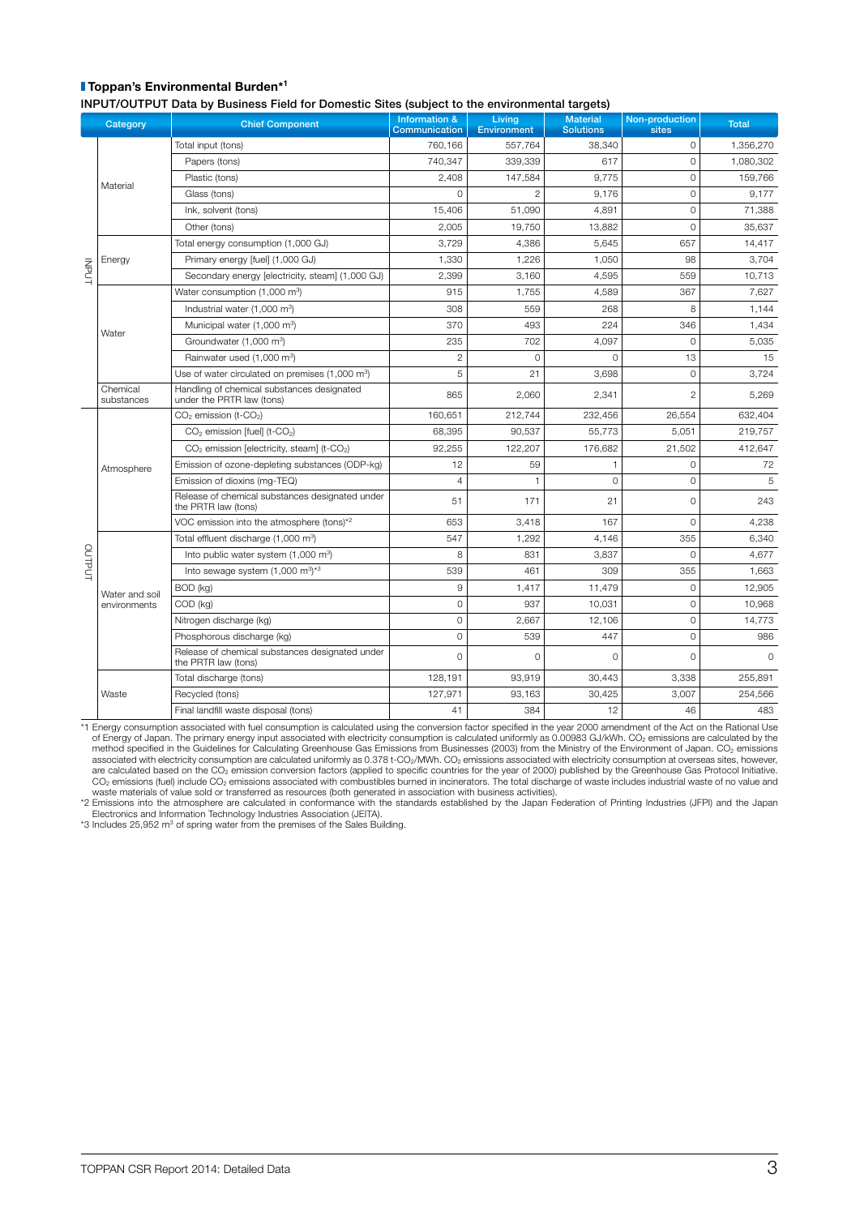### **Toppan's Environmental Burden\*1**

INPUT/OUTPUT Data by Business Field for Domestic Sites (subject to the environmental targets)

|              |                        | in on our or bala by Basiness ricia for Bomestic once joasject to the christmichtar targets, |                                           |                              |                                     |                         |              |
|--------------|------------------------|----------------------------------------------------------------------------------------------|-------------------------------------------|------------------------------|-------------------------------------|-------------------------|--------------|
|              | Category               | <b>Chief Component</b>                                                                       | <b>Information &amp;</b><br>Communication | Living<br><b>Environment</b> | <b>Material</b><br><b>Solutions</b> | Non-production<br>sites | <b>Total</b> |
|              |                        | Total input (tons)                                                                           | 760,166                                   | 557,764                      | 38,340                              | $\circ$                 | 1,356,270    |
|              |                        | Papers (tons)                                                                                | 740,347                                   | 339,339                      | 617                                 | $\Omega$                | 1,080,302    |
|              |                        | Plastic (tons)                                                                               | 2,408                                     | 147,584                      | 9,775                               | $\Omega$                | 159,766      |
|              | Material               | Glass (tons)                                                                                 | $\Omega$                                  | $\overline{2}$               | 9,176                               | $\Omega$                | 9,177        |
|              |                        | Ink, solvent (tons)                                                                          | 15,406                                    | 51,090                       | 4,891                               | $\Omega$                | 71,388       |
|              |                        | Other (tons)                                                                                 | 2,005                                     | 19,750                       | 13,882                              | $\Omega$                | 35,637       |
|              |                        | Total energy consumption (1,000 GJ)                                                          | 3,729                                     | 4,386                        | 5,645                               | 657                     | 14,417       |
|              | Energy                 | Primary energy [fuel] (1,000 GJ)                                                             | 1,330                                     | 1,226                        | 1,050                               | 98                      | 3,704        |
| <b>INPUT</b> |                        | Secondary energy [electricity, steam] (1,000 GJ)                                             | 2,399                                     | 3,160                        | 4,595                               | 559                     | 10,713       |
|              |                        | Water consumption (1,000 m <sup>3</sup> )                                                    | 915                                       | 1,755                        | 4,589                               | 367                     | 7,627        |
|              |                        | Industrial water (1,000 m <sup>3</sup> )                                                     | 308                                       | 559                          | 268                                 | 8                       | 1,144        |
|              |                        | Municipal water (1,000 m <sup>3</sup> )                                                      | 370                                       | 493                          | 224                                 | 346                     | 1,434        |
|              | Water                  | Groundwater (1,000 m <sup>3</sup> )                                                          | 235                                       | 702                          | 4,097                               | $\mathbf 0$             | 5,035        |
|              |                        | Rainwater used (1,000 m <sup>3</sup> )                                                       | $\overline{c}$                            | $\Omega$                     | $\Omega$                            | 13                      | 15           |
|              |                        | Use of water circulated on premises (1,000 m <sup>3</sup> )                                  | 5                                         | 21                           | 3,698                               | $\Omega$                | 3,724        |
|              | Chemical<br>substances | Handling of chemical substances designated<br>under the PRTR law (tons)                      | 865                                       | 2,060                        | 2,341                               | $\overline{c}$          | 5,269        |
|              |                        | CO <sub>2</sub> emission (t-CO <sub>2</sub> )                                                | 160,651                                   | 212,744                      | 232,456                             | 26,554                  | 632,404      |
|              |                        | CO <sub>2</sub> emission [fuel] (t-CO <sub>2</sub> )                                         | 68,395                                    | 90,537                       | 55,773                              | 5,051                   | 219,757      |
|              |                        | CO <sub>2</sub> emission [electricity, steam] (t-CO <sub>2</sub> )                           | 92.255                                    | 122,207                      | 176,682                             | 21,502                  | 412,647      |
|              | Atmosphere             | Emission of ozone-depleting substances (ODP-kg)                                              | 12                                        | 59                           | 1                                   | 0                       | 72           |
|              |                        | Emission of dioxins (mg-TEQ)                                                                 | 4                                         | 1                            | $\Omega$                            | $\Omega$                | 5            |
|              |                        | Release of chemical substances designated under<br>the PRTR law (tons)                       | 51                                        | 171                          | 21                                  | $\Omega$                | 243          |
|              |                        | VOC emission into the atmosphere (tons)*2                                                    | 653                                       | 3,418                        | 167                                 | $\Omega$                | 4,238        |
|              |                        | Total effluent discharge (1,000 m <sup>3</sup> )                                             | 547                                       | 1,292                        | 4,146                               | 355                     | 6,340        |
|              |                        | Into public water system (1,000 m <sup>3</sup> )                                             | 8                                         | 831                          | 3,837                               | $\Omega$                | 4,677        |
| OUTPUT       |                        | Into sewage system $(1,000 \text{ m}^3)^{*3}$                                                | 539                                       | 461                          | 309                                 | 355                     | 1,663        |
|              | Water and soil         | BOD (kg)                                                                                     | 9                                         | 1,417                        | 11,479                              | 0                       | 12,905       |
|              | environments           | COD (kg)                                                                                     | $\overline{0}$                            | 937                          | 10,031                              | $\Omega$                | 10,968       |
|              |                        | Nitrogen discharge (kg)                                                                      | 0                                         | 2,667                        | 12,106                              | $\Omega$                | 14,773       |
|              |                        | Phosphorous discharge (kg)                                                                   | 0                                         | 539                          | 447                                 | $\Omega$                | 986          |
|              |                        | Release of chemical substances designated under<br>the PRTR law (tons)                       | 0                                         | $\Omega$                     | 0                                   | $\Omega$                | $\Omega$     |
|              |                        | Total discharge (tons)                                                                       | 128,191                                   | 93,919                       | 30,443                              | 3,338                   | 255,891      |
|              | Waste                  | Recycled (tons)                                                                              | 127,971                                   | 93,163                       | 30,425                              | 3,007                   | 254,566      |
|              |                        | Final landfill waste disposal (tons)                                                         | 41                                        | 384                          | 12                                  | 46                      | 483          |

1 Energy consumption associated with fuel consumption is calculated using the conversion factor specified in the year 2000 amendment of the Act on the Rational Use\*<br>of Energy of Japan. The primary energy input associated w method specified in the Guidelines for Calculating Greenhouse Gas Emissions from Businesses (2003) from the Ministry of the Environment of Japan. CO<sub>2</sub> emissions<br>associated with electricity consumption are calculated unifo

waste materials of value sold or transferred as resources (both generated in association with business activities).<br>2 Emissions into the atmosphere are calculated in conformance with the standards established by the Japan Electronics and Information Technology Industries Association (JEITA).

 $*3$  Includes 25,952 m<sup>3</sup> of spring water from the premises of the Sales Building.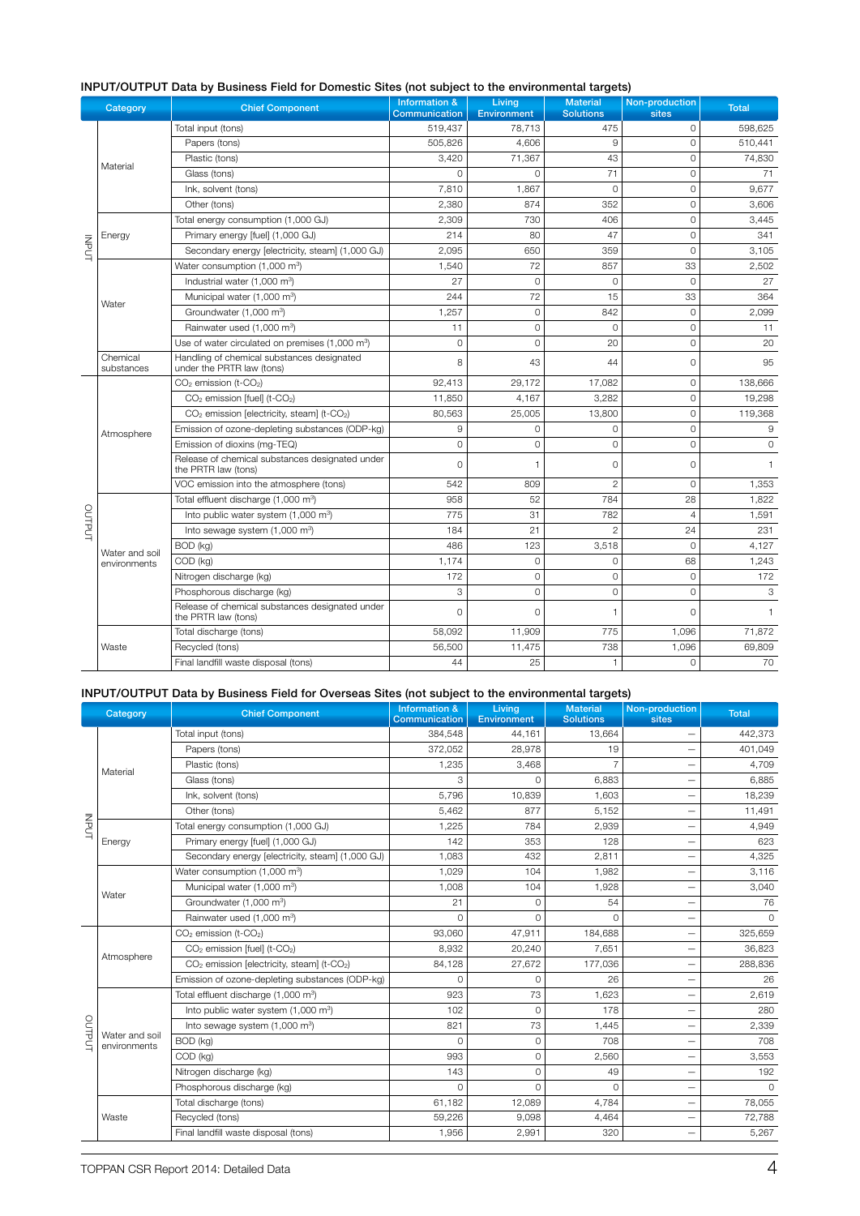|        | Category               | <b>Chief Component</b>                                                  | <b>Information &amp;</b><br><b>Communication</b> | Living<br><b>Environment</b> | <b>Material</b><br><b>Solutions</b> | Non-production<br>sites | <b>Total</b> |
|--------|------------------------|-------------------------------------------------------------------------|--------------------------------------------------|------------------------------|-------------------------------------|-------------------------|--------------|
|        |                        | Total input (tons)                                                      | 519,437                                          | 78,713                       | 475                                 | $\Omega$                | 598,625      |
|        |                        | Papers (tons)                                                           | 505.826                                          | 4.606                        | 9                                   | $\Omega$                | 510,441      |
|        |                        | Plastic (tons)                                                          | 3,420                                            | 71,367                       | 43                                  | $\mathbf 0$             | 74,830       |
|        | Material               | Glass (tons)                                                            | $\Omega$                                         | $\Omega$                     | 71                                  | $\Omega$                | 71           |
|        |                        | Ink, solvent (tons)                                                     | 7.810                                            | 1.867                        | $\Omega$                            | $\Omega$                | 9.677        |
|        |                        | Other (tons)                                                            | 2,380                                            | 874                          | 352                                 | $\mathbf 0$             | 3,606        |
|        |                        | Total energy consumption (1,000 GJ)                                     | 2,309                                            | 730                          | 406                                 | $\mathbf 0$             | 3,445        |
|        | Energy                 | Primary energy [fuel] (1,000 GJ)                                        | 214                                              | 80                           | 47                                  | $\Omega$                | 341          |
| INPUT  |                        | Secondary energy [electricity, steam] (1,000 GJ)                        | 2,095                                            | 650                          | 359                                 | $\mathbf 0$             | 3,105        |
|        |                        | Water consumption (1,000 m <sup>3</sup> )                               | 1.540                                            | 72                           | 857                                 | 33                      | 2,502        |
|        |                        | Industrial water (1,000 m <sup>3</sup> )                                | 27                                               | $\overline{0}$               | $\Omega$                            | $\Omega$                | 27           |
|        |                        | Municipal water (1,000 m <sup>3</sup> )                                 | 244                                              | 72                           | 15                                  | 33                      | 364          |
|        | Water                  | Groundwater (1,000 m <sup>3</sup> )                                     | 1,257                                            | $\overline{0}$               | 842                                 | $\mathbf 0$             | 2,099        |
|        |                        | Rainwater used (1,000 m <sup>3</sup> )                                  | 11                                               | $\overline{O}$               | $\Omega$                            | $\Omega$                | 11           |
|        |                        | Use of water circulated on premises (1,000 m <sup>3</sup> )             | $\Omega$                                         | $\Omega$                     | 20                                  | $\Omega$                | 20           |
|        | Chemical<br>substances | Handling of chemical substances designated<br>under the PRTR law (tons) | 8                                                | 43                           | 44                                  | $\mathbf 0$             | 95           |
|        |                        | $CO2$ emission (t- $CO2$ )                                              | 92,413                                           | 29,172                       | 17,082                              | 0                       | 138,666      |
|        |                        | CO <sub>2</sub> emission [fuel] (t-CO <sub>2</sub> )                    | 11,850                                           | 4,167                        | 3,282                               | $\Omega$                | 19,298       |
|        |                        | CO <sub>2</sub> emission [electricity, steam] (t-CO <sub>2</sub> )      | 80,563                                           | 25,005                       | 13,800                              | $\mathbf 0$             | 119,368      |
|        | Atmosphere             | Emission of ozone-depleting substances (ODP-kg)                         | 9                                                | 0                            | $\circ$                             | $\mathbf 0$             | 9            |
|        |                        | Emission of dioxins (mg-TEQ)                                            | $\circ$                                          | $\Omega$                     | $\Omega$                            | $\Omega$                | $\Omega$     |
|        |                        | Release of chemical substances designated under<br>the PRTR law (tons)  | $\Omega$                                         | 1                            | $\Omega$                            | $\Omega$                | $\mathbf{1}$ |
|        |                        | VOC emission into the atmosphere (tons)                                 | 542                                              | 809                          | $\overline{2}$                      | $\Omega$                | 1,353        |
|        |                        | Total effluent discharge (1,000 m <sup>3</sup> )                        | 958                                              | 52                           | 784                                 | 28                      | 1,822        |
| OUTPUT |                        | Into public water system (1,000 m <sup>3</sup> )                        | 775                                              | 31                           | 782                                 | $\overline{4}$          | 1,591        |
|        |                        | Into sewage system (1,000 m <sup>3</sup> )                              | 184                                              | 21                           | $\overline{2}$                      | 24                      | 231          |
|        | Water and soil         | BOD (kg)                                                                | 486                                              | 123                          | 3,518                               | $\Omega$                | 4,127        |
|        | environments           | COD (kg)                                                                | 1,174                                            | $\overline{0}$               | $\Omega$                            | 68                      | 1,243        |
|        |                        | Nitrogen discharge (kg)                                                 | 172                                              | $\Omega$                     | $\Omega$                            | $\Omega$                | 172          |
|        |                        | Phosphorous discharge (kg)                                              | 3                                                | 0                            | $\circ$                             | $\Omega$                | 3            |
|        |                        | Release of chemical substances designated under<br>the PRTR law (tons)  | $\Omega$                                         | $\Omega$                     | 1                                   | $\Omega$                | $\mathbf{1}$ |
|        |                        | Total discharge (tons)                                                  | 58,092                                           | 11,909                       | 775                                 | 1,096                   | 71,872       |
|        | Waste                  | Recycled (tons)                                                         | 56,500                                           | 11,475                       | 738                                 | 1,096                   | 69,809       |
|        |                        | Final landfill waste disposal (tons)                                    | 44                                               | 25                           | $\mathbf{1}$                        | $\overline{0}$          | 70           |

## INPUT/OUTPUT Data by Business Field for Domestic Sites (not subject to the environmental targets)

## INPUT/OUTPUT Data by Business Field for Overseas Sites (not subject to the environmental targets)

|               | Category                       | <b>Chief Component</b>                                             | Information &<br>Communication | Living<br><b>Environment</b> | <b>Material</b><br><b>Solutions</b> | Non-production<br>sites  | <b>Total</b> |
|---------------|--------------------------------|--------------------------------------------------------------------|--------------------------------|------------------------------|-------------------------------------|--------------------------|--------------|
|               |                                | Total input (tons)                                                 | 384,548                        | 44,161                       | 13,664                              |                          | 442,373      |
|               |                                | Papers (tons)                                                      | 372,052                        | 28,978                       | 19                                  | $\overline{\phantom{0}}$ | 401,049      |
|               | Material                       | Plastic (tons)                                                     | 1,235                          | 3,468                        | $\overline{7}$                      | $\overline{\phantom{0}}$ | 4,709        |
|               |                                | Glass (tons)                                                       | 3                              | O                            | 6,883                               |                          | 6,885        |
|               |                                | Ink, solvent (tons)                                                | 5,796                          | 10,839                       | 1,603                               | -                        | 18,239       |
|               |                                | Other (tons)                                                       | 5,462                          | 877                          | 5,152                               | $\overline{\phantom{0}}$ | 11,491       |
| <b>INPUT</b>  |                                | Total energy consumption (1,000 GJ)                                | 1,225                          | 784                          | 2,939                               | $\overline{\phantom{0}}$ | 4,949        |
|               | Energy                         | Primary energy [fuel] (1,000 GJ)                                   | 142                            | 353                          | 128                                 |                          | 623          |
|               |                                | Secondary energy [electricity, steam] (1,000 GJ)                   | 1.083                          | 432                          | 2,811                               | $\overline{\phantom{0}}$ | 4,325        |
|               |                                | Water consumption (1,000 m <sup>3</sup> )                          | 1.029                          | 104                          | 1,982                               |                          | 3,116        |
|               | Water                          | Municipal water (1,000 m <sup>3</sup> )                            | 1.008                          | 104                          | 1,928                               |                          | 3,040        |
|               |                                | Groundwater (1,000 m <sup>3</sup> )                                | 21                             | $\overline{0}$               | 54                                  |                          | 76           |
|               |                                | Rainwater used (1,000 m <sup>3</sup> )                             | $\Omega$                       | 0                            | $\Omega$                            | -                        | $\Omega$     |
|               |                                | CO <sub>2</sub> emission (t-CO <sub>2</sub> )                      | 93,060                         | 47,911                       | 184,688                             | $\overline{\phantom{0}}$ | 325,659      |
|               | Atmosphere                     | CO <sub>2</sub> emission [fuel] (t-CO <sub>2</sub> )               | 8,932                          | 20,240                       | 7,651                               | $\overline{\phantom{0}}$ | 36,823       |
|               |                                | CO <sub>2</sub> emission [electricity, steam] (t-CO <sub>2</sub> ) | 84,128                         | 27,672                       | 177,036                             | $\overline{\phantom{0}}$ | 288,836      |
|               |                                | Emission of ozone-depleting substances (ODP-kg)                    | $\Omega$                       | 0                            | 26                                  |                          | 26           |
|               |                                | Total effluent discharge (1,000 m <sup>3</sup> )                   | 923                            | 73                           | 1,623                               |                          | 2,619        |
|               |                                | Into public water system (1,000 m <sup>3</sup> )                   | 102                            | 0                            | 178                                 | -                        | 280          |
|               |                                | Into sewage system (1,000 m <sup>3</sup> )                         | 821                            | 73                           | 1,445                               |                          | 2,339        |
| <b>OUTPUT</b> | Water and soil<br>environments | BOD (kg)                                                           | <sup>0</sup>                   | 0                            | 708                                 |                          | 708          |
|               |                                | COD (kg)                                                           | 993                            | $\overline{0}$               | 2,560                               | $\overline{\phantom{0}}$ | 3,553        |
|               |                                | Nitrogen discharge (kg)                                            | 143                            | 0                            | 49                                  |                          | 192          |
|               |                                | Phosphorous discharge (kg)                                         | $\Omega$                       | 0                            | $\Omega$                            | -                        | $\Omega$     |
|               |                                | Total discharge (tons)                                             | 61.182                         | 12,089                       | 4.784                               | -                        | 78,055       |
|               | Waste                          | Recycled (tons)                                                    | 59,226                         | 9,098                        | 4,464                               |                          | 72,788       |
|               |                                | Final landfill waste disposal (tons)                               | 1.956                          | 2.991                        | 320                                 | $\overline{\phantom{0}}$ | 5,267        |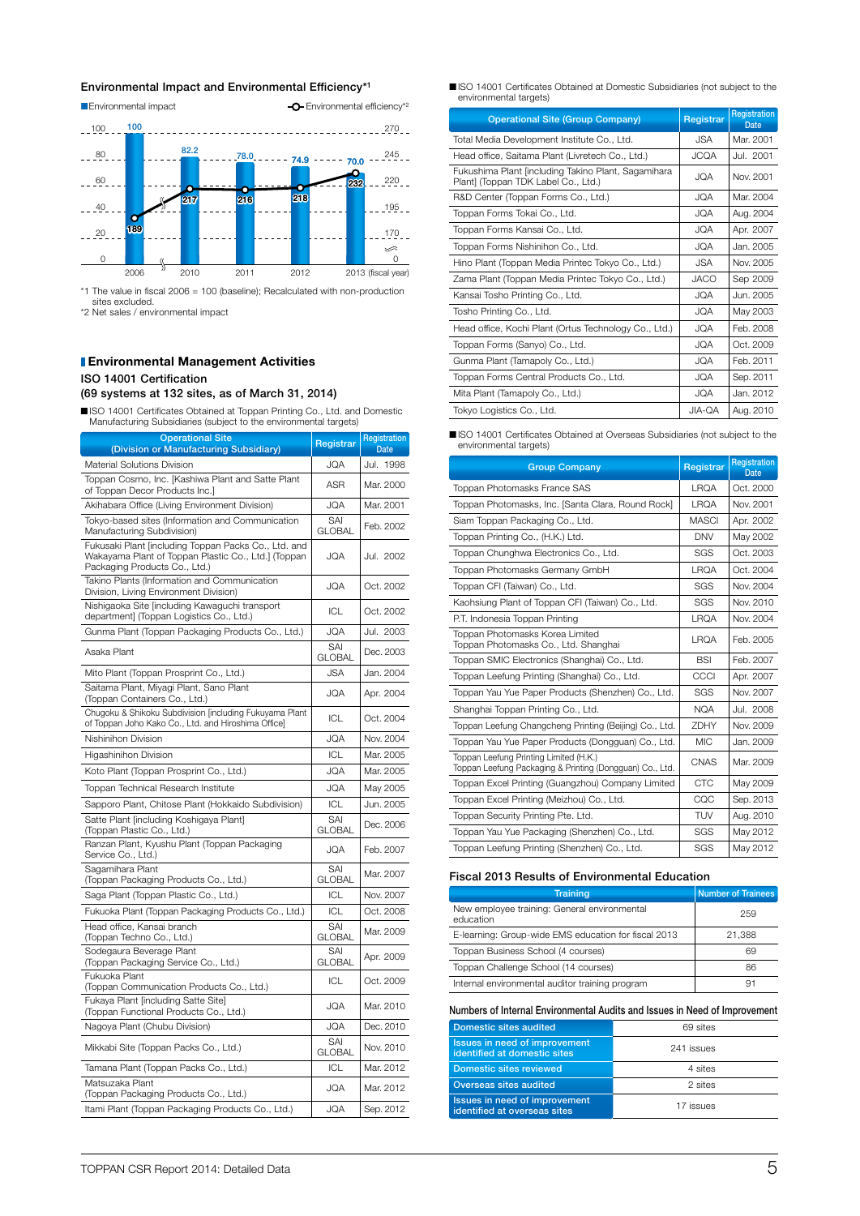#### Environmental Impact and Environmental Efficiency\*1



\*1 The value in fiscal 2006 = 100 (baseline); Recalculated with non-production sites excluded. \*2 Net sales / environmental impact

#### **Environmental Management Activities** ISO 14001 Certification (69 systems at 132 sites, as of March 31, 2014)

n ISO 14001 Certificates Obtained at Toppan Printing Co., Ltd. and Domestic Manufacturing Subsidiaries (subject to the environmental targets)

| <b>Operational Site</b><br>(Division or Manufacturing Subsidiary)                                                                            | Registrar            | Registration<br><b>Date</b> |
|----------------------------------------------------------------------------------------------------------------------------------------------|----------------------|-----------------------------|
| Material Solutions Division                                                                                                                  | JQA                  | Jul. 1998                   |
| Toppan Cosmo, Inc. [Kashiwa Plant and Satte Plant<br>of Toppan Decor Products Inc.]                                                          | <b>ASR</b>           | Mar. 2000                   |
| Akihabara Office (Living Environment Division)                                                                                               | JQA                  | Mar. 2001                   |
| Tokyo-based sites (Information and Communication<br>Manufacturing Subdivision)                                                               | SAI<br><b>GLOBAL</b> | Feb. 2002                   |
| Fukusaki Plant [including Toppan Packs Co., Ltd. and<br>Wakayama Plant of Toppan Plastic Co., Ltd.] (Toppan<br>Packaging Products Co., Ltd.) | <b>JQA</b>           | Jul. 2002                   |
| Takino Plants (Information and Communication<br>Division, Living Environment Division)                                                       | <b>JQA</b>           | Oct. 2002                   |
| Nishigaoka Site [including Kawaguchi transport<br>department] (Toppan Logistics Co., Ltd.)                                                   | ICL                  | Oct. 2002                   |
| Gunma Plant (Toppan Packaging Products Co., Ltd.)                                                                                            | <b>JQA</b>           | Jul. 2003                   |
| Asaka Plant                                                                                                                                  | SAI<br><b>GLOBAL</b> | Dec. 2003                   |
| Mito Plant (Toppan Prosprint Co., Ltd.)                                                                                                      | <b>JSA</b>           | Jan. 2004                   |
| Saitama Plant, Miyagi Plant, Sano Plant<br>(Toppan Containers Co., Ltd.)                                                                     | <b>JQA</b>           | Apr. 2004                   |
| Chugoku & Shikoku Subdivision [including Fukuyama Plant<br>of Toppan Joho Kako Co., Ltd. and Hiroshima Office]                               | ICL                  | Oct. 2004                   |
| Nishinihon Division                                                                                                                          | <b>JQA</b>           | Nov. 2004                   |
| Higashinihon Division                                                                                                                        | ICL                  | Mar. 2005                   |
| Koto Plant (Toppan Prosprint Co., Ltd.)                                                                                                      | <b>JQA</b>           | Mar. 2005                   |
| Toppan Technical Research Institute                                                                                                          | <b>JQA</b>           | May 2005                    |
| Sapporo Plant, Chitose Plant (Hokkaido Subdivision)                                                                                          | ICL                  | Jun. 2005                   |
| Satte Plant [including Koshigaya Plant]<br>(Toppan Plastic Co., Ltd.)                                                                        | SAI<br><b>GLOBAL</b> | Dec. 2006                   |
| Ranzan Plant, Kyushu Plant (Toppan Packaging<br>Service Co., Ltd.)                                                                           | JQA                  | Feb. 2007                   |
| Sagamihara Plant<br>(Toppan Packaging Products Co., Ltd.)                                                                                    | SAI<br><b>GLOBAL</b> | Mar. 2007                   |
| Saga Plant (Toppan Plastic Co., Ltd.)                                                                                                        | ICL                  | Nov. 2007                   |
| Fukuoka Plant (Toppan Packaging Products Co., Ltd.)                                                                                          | ICL                  | Oct. 2008                   |
| Head office, Kansai branch<br>(Toppan Techno Co., Ltd.)                                                                                      | SAI<br><b>GLOBAL</b> | Mar. 2009                   |
| Sodegaura Beverage Plant<br>(Toppan Packaging Service Co., Ltd.)                                                                             | SAI<br><b>GLOBAL</b> | Apr. 2009                   |
| Fukuoka Plant<br>(Toppan Communication Products Co., Ltd.)                                                                                   | ICL                  | Oct. 2009                   |
| Fukaya Plant [including Satte Site]<br>(Toppan Functional Products Co., Ltd.)                                                                | JQA                  | Mar. 2010                   |
| Nagoya Plant (Chubu Division)                                                                                                                | JQA                  | Dec. 2010                   |
| Mikkabi Site (Toppan Packs Co., Ltd.)                                                                                                        | SAI<br><b>GLOBAL</b> | Nov. 2010                   |
| Tamana Plant (Toppan Packs Co., Ltd.)                                                                                                        | ICL                  | Mar. 2012                   |
| Matsuzaka Plant<br>(Toppan Packaging Products Co., Ltd.)                                                                                     | JQA                  | Mar. 2012                   |
| Itami Plant (Toppan Packaging Products Co., Ltd.)                                                                                            | <b>JQA</b>           | Sep. 2012                   |

■ ISO 14001 Certificates Obtained at Domestic Subsidiaries (not subject to the environmental targets)

| <b>Operational Site (Group Company)</b>                                                    | Registrar   | Registration<br><b>Date</b> |
|--------------------------------------------------------------------------------------------|-------------|-----------------------------|
| Total Media Development Institute Co., Ltd.                                                | JSA.        | Mar. 2001                   |
| Head office, Saitama Plant (Livretech Co., Ltd.)                                           | <b>ACCA</b> | Jul. 2001                   |
| Fukushima Plant [including Takino Plant, Sagamihara<br>Plant] (Toppan TDK Label Co., Ltd.) | <b>JQA</b>  | Nov. 2001                   |
| R&D Center (Toppan Forms Co., Ltd.)                                                        | ACI.        | Mar. 2004                   |
| Toppan Forms Tokai Co., Ltd.                                                               | <b>JQA</b>  | Aug. 2004                   |
| Toppan Forms Kansai Co., Ltd.                                                              | <b>JQA</b>  | Apr. 2007                   |
| Toppan Forms Nishinihon Co., Ltd.                                                          | <b>JQA</b>  | Jan. 2005                   |
| Hino Plant (Toppan Media Printec Tokyo Co., Ltd.)                                          | JSA.        | Nov. 2005                   |
| Zama Plant (Toppan Media Printec Tokyo Co., Ltd.)                                          | <b>JACO</b> | Sep 2009                    |
| Kansai Tosho Printing Co., Ltd.                                                            | <b>JQA</b>  | Jun. 2005                   |
| Tosho Printing Co., Ltd.                                                                   | <b>JQA</b>  | May 2003                    |
| Head office, Kochi Plant (Ortus Technology Co., Ltd.)                                      | <b>JQA</b>  | Feb. 2008                   |
| Toppan Forms (Sanyo) Co., Ltd.                                                             | <b>JQA</b>  | Oct. 2009                   |
| Gunma Plant (Tamapoly Co., Ltd.)                                                           | <b>JQA</b>  | Feb. 2011                   |
| Toppan Forms Central Products Co., Ltd.                                                    | <b>JQA</b>  | Sep. 2011                   |
| Mita Plant (Tamapoly Co., Ltd.)                                                            | <b>JQA</b>  | Jan. 2012                   |
| Tokyo Logistics Co., Ltd.                                                                  | JIA-QA      | Aug. 2010                   |

■ISO 14001 Certificates Obtained at Overseas Subsidiaries (not subject to the environmental targets)

| <b>Group Company</b>                                                                               | Registrar    | <b>Registration</b><br><b>Date</b> |
|----------------------------------------------------------------------------------------------------|--------------|------------------------------------|
| Toppan Photomasks France SAS                                                                       | <b>LRQA</b>  | Oct. 2000                          |
| Toppan Photomasks, Inc. [Santa Clara, Round Rock]                                                  | <b>LRQA</b>  | Nov. 2001                          |
| Siam Toppan Packaging Co., Ltd.                                                                    | <b>MASCI</b> | Apr. 2002                          |
| Toppan Printing Co., (H.K.) Ltd.                                                                   | <b>DNV</b>   | May 2002                           |
| Toppan Chunghwa Electronics Co., Ltd.                                                              | SGS          | Oct. 2003                          |
| Toppan Photomasks Germany GmbH                                                                     | <b>LRQA</b>  | Oct. 2004                          |
| Toppan CFI (Taiwan) Co., Ltd.                                                                      | SGS          | Nov. 2004                          |
| Kaohsiung Plant of Toppan CFI (Taiwan) Co., Ltd.                                                   | SGS          | Nov. 2010                          |
| P.T. Indonesia Toppan Printing                                                                     | <b>LRQA</b>  | Nov. 2004                          |
| Toppan Photomasks Korea Limited<br>Toppan Photomasks Co., Ltd. Shanghai                            | <b>LRQA</b>  | Feb. 2005                          |
| Toppan SMIC Electronics (Shanghai) Co., Ltd.                                                       | <b>BSI</b>   | Feb. 2007                          |
| Toppan Leefung Printing (Shanghai) Co., Ltd.                                                       | CCCI         | Apr. 2007                          |
| Toppan Yau Yue Paper Products (Shenzhen) Co., Ltd.                                                 | SGS          | Nov. 2007                          |
| Shanghai Toppan Printing Co., Ltd.                                                                 | <b>NQA</b>   | Jul. 2008                          |
| Toppan Leefung Changcheng Printing (Beijing) Co., Ltd.                                             | <b>7DHY</b>  | Nov. 2009                          |
| Toppan Yau Yue Paper Products (Dongguan) Co., Ltd.                                                 | <b>MIC</b>   | Jan. 2009                          |
| Toppan Leefung Printing Limited (H.K.)<br>Toppan Leefung Packaging & Printing (Dongguan) Co., Ltd. | CNAS         | Mar. 2009                          |
| Toppan Excel Printing (Guangzhou) Company Limited                                                  | <b>CTC</b>   | May 2009                           |
| Toppan Excel Printing (Meizhou) Co., Ltd.                                                          | CQC          | Sep. 2013                          |
| Toppan Security Printing Pte. Ltd.                                                                 | <b>TUV</b>   | Aug. 2010                          |
| Toppan Yau Yue Packaging (Shenzhen) Co., Ltd.                                                      | SGS          | May 2012                           |
| Toppan Leefung Printing (Shenzhen) Co., Ltd.                                                       | SGS          | May 2012                           |

#### Fiscal 2013 Results of Environmental Education

| <b>Training</b>                                           | <b>Number of Trainees</b> |
|-----------------------------------------------------------|---------------------------|
| New employee training: General environmental<br>education | 259                       |
| E-learning: Group-wide EMS education for fiscal 2013      | 21.388                    |
| Toppan Business School (4 courses)                        | 69                        |
| Toppan Challenge School (14 courses)                      | 86                        |
| Internal environmental auditor training program           | 91                        |

Numbers of Internal Environmental Audits and Issues in Need of Improvement

| Domestic sites audited                                        | 69 sites   |
|---------------------------------------------------------------|------------|
| Issues in need of improvement<br>identified at domestic sites | 241 issues |
| <b>Domestic sites reviewed</b>                                | 4 sites    |
| Overseas sites audited                                        | 2 sites    |
| Issues in need of improvement<br>identified at overseas sites | 17 issues  |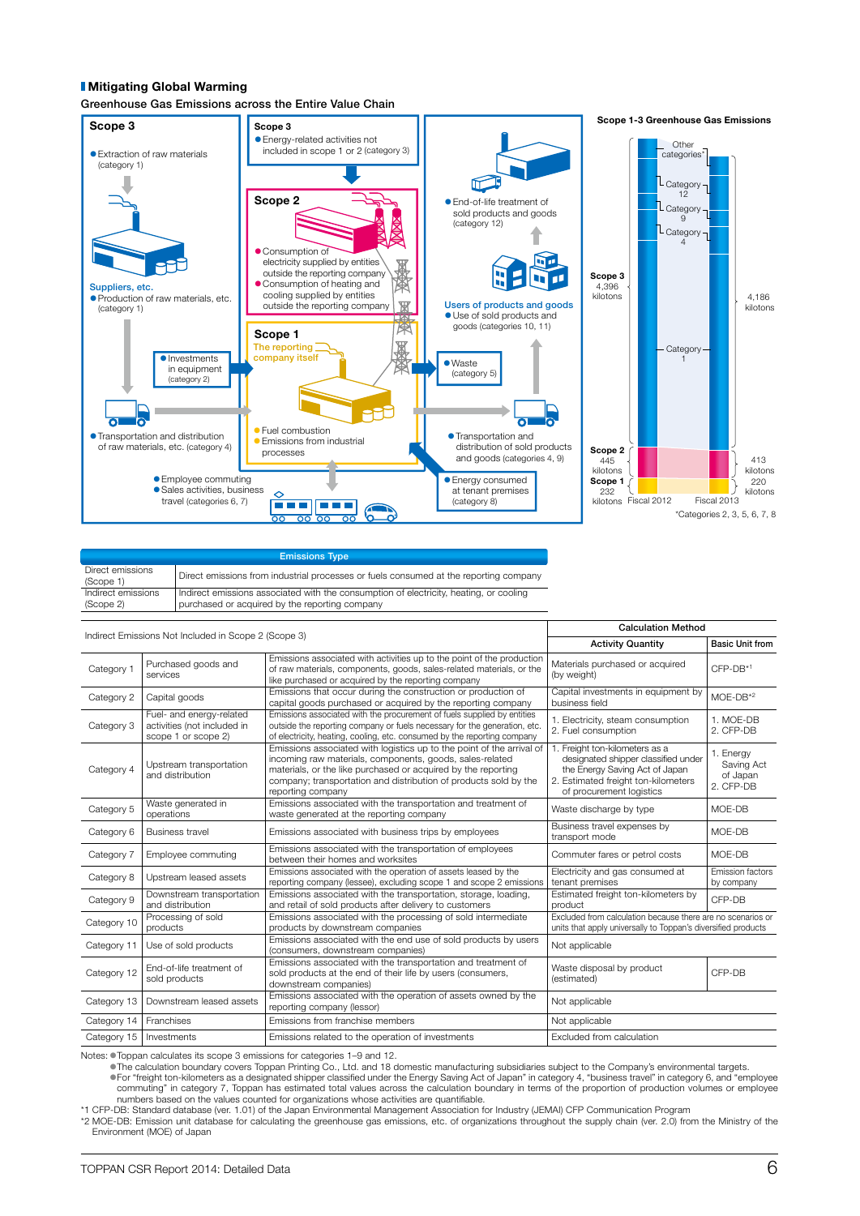#### Mitigating Global Warming

Greenhouse Gas Emissions across the Entire Value Chain



| <b>Emissions Type</b>           |                                                                                                                                          |  |  |  |
|---------------------------------|------------------------------------------------------------------------------------------------------------------------------------------|--|--|--|
| Direct emissions<br>(Scope 1)   | Direct emissions from industrial processes or fuels consumed at the reporting company                                                    |  |  |  |
| Indirect emissions<br>(Scope 2) | Indirect emissions associated with the consumption of electricity, heating, or cooling<br>purchased or acquired by the reporting company |  |  |  |

| <b>Calculation Method</b><br>Indirect Emissions Not Included in Scope 2 (Scope 3) |                                                                                |                                                                                                                                                                                                                                                                                             |                                                                                                                                                                            |                                                  |
|-----------------------------------------------------------------------------------|--------------------------------------------------------------------------------|---------------------------------------------------------------------------------------------------------------------------------------------------------------------------------------------------------------------------------------------------------------------------------------------|----------------------------------------------------------------------------------------------------------------------------------------------------------------------------|--------------------------------------------------|
|                                                                                   |                                                                                |                                                                                                                                                                                                                                                                                             | <b>Activity Quantity</b>                                                                                                                                                   | <b>Basic Unit from</b>                           |
| Category 1                                                                        | Purchased goods and<br>services                                                | Emissions associated with activities up to the point of the production<br>of raw materials, components, goods, sales-related materials, or the<br>like purchased or acquired by the reporting company                                                                                       | Materials purchased or acquired<br>(by weight)                                                                                                                             | $CFP-DB*1$                                       |
| Category 2                                                                        | Capital goods                                                                  | Emissions that occur during the construction or production of<br>capital goods purchased or acquired by the reporting company                                                                                                                                                               | Capital investments in equipment by<br>business field                                                                                                                      | $MOE-DB*2$                                       |
| Category 3                                                                        | Fuel- and energy-related<br>activities (not included in<br>scope 1 or scope 2) | Emissions associated with the procurement of fuels supplied by entities<br>outside the reporting company or fuels necessary for the generation, etc.<br>of electricity, heating, cooling, etc. consumed by the reporting company                                                            | 1. Electricity, steam consumption<br>2. Fuel consumption                                                                                                                   | 1. MOF-DB<br>2. CFP-DB                           |
| Category 4                                                                        | Upstream transportation<br>and distribution                                    | Emissions associated with logistics up to the point of the arrival of<br>incoming raw materials, components, goods, sales-related<br>materials, or the like purchased or acquired by the reporting<br>company; transportation and distribution of products sold by the<br>reporting company | 1. Freight ton-kilometers as a<br>designated shipper classified under<br>the Energy Saving Act of Japan<br>2. Estimated freight ton-kilometers<br>of procurement logistics | 1. Energy<br>Saving Act<br>of Japan<br>2. CFP-DB |
| Category 5                                                                        | Waste generated in<br>operations                                               | Emissions associated with the transportation and treatment of<br>waste generated at the reporting company                                                                                                                                                                                   | Waste discharge by type                                                                                                                                                    | MOE-DB                                           |
| Category 6                                                                        | <b>Business travel</b>                                                         | Emissions associated with business trips by employees                                                                                                                                                                                                                                       | Business travel expenses by<br>transport mode                                                                                                                              | MOE-DB                                           |
| Category 7                                                                        | Employee commuting                                                             | Emissions associated with the transportation of employees<br>between their homes and worksites                                                                                                                                                                                              | Commuter fares or petrol costs                                                                                                                                             | MOE-DB                                           |
| Category 8                                                                        | Upstream leased assets                                                         | Emissions associated with the operation of assets leased by the<br>reporting company (lessee), excluding scope 1 and scope 2 emissions                                                                                                                                                      | Electricity and gas consumed at<br>tenant premises                                                                                                                         | <b>Emission factors</b><br>by company            |
| Category 9                                                                        | Downstream transportation<br>and distribution                                  | Emissions associated with the transportation, storage, loading,<br>and retail of sold products after delivery to customers                                                                                                                                                                  | Estimated freight ton-kilometers by<br>product                                                                                                                             | CFP-DB                                           |
| Category 10                                                                       | Processing of sold<br>products                                                 | Emissions associated with the processing of sold intermediate<br>products by downstream companies                                                                                                                                                                                           | Excluded from calculation because there are no scenarios or<br>units that apply universally to Toppan's diversified products                                               |                                                  |
| Category 11                                                                       | Use of sold products                                                           | Emissions associated with the end use of sold products by users<br>(consumers, downstream companies)                                                                                                                                                                                        | Not applicable                                                                                                                                                             |                                                  |
| Category 12                                                                       | End-of-life treatment of<br>sold products                                      | Emissions associated with the transportation and treatment of<br>sold products at the end of their life by users (consumers,<br>downstream companies)                                                                                                                                       | Waste disposal by product<br>(estimated)                                                                                                                                   | CFP-DB                                           |
| Category 13                                                                       | Downstream leased assets                                                       | Emissions associated with the operation of assets owned by the<br>reporting company (lessor)                                                                                                                                                                                                | Not applicable                                                                                                                                                             |                                                  |
| Category 14                                                                       | Franchises                                                                     | Emissions from franchise members                                                                                                                                                                                                                                                            | Not applicable                                                                                                                                                             |                                                  |
| Category 15                                                                       | Investments                                                                    | Emissions related to the operation of investments                                                                                                                                                                                                                                           | Excluded from calculation                                                                                                                                                  |                                                  |

Notes: Toppan calculates its scope 3 emissions for categories 1–9 and 12.

IThe calculation boundary covers Toppan Printing Co., Ltd. and 18 domestic manufacturing subsidiaries subject to the Company's environmental targets. IFor "freight ton-kilometers as a designated shipper classified under the Energy Saving Act of Japan" in category 4, "business travel" in category 6, and "employee commuting" in category 7, Toppan has estimated total values across the calculation boundary in terms of the proportion of production volumes or employee<br>numbers based on the values counted for organizations whose activitie

\*1 CFP-DB: Standard database (ver. 1.01) of the Japan Environmental Management Association for Industry (JEMAI) CFP Communication Program

\*2 MOE-DB: Emission unit database for calculating the greenhouse gas emissions, etc. of organizations throughout the supply chain (ver. 2.0) from the Ministry of the Environment (MOE) of Japan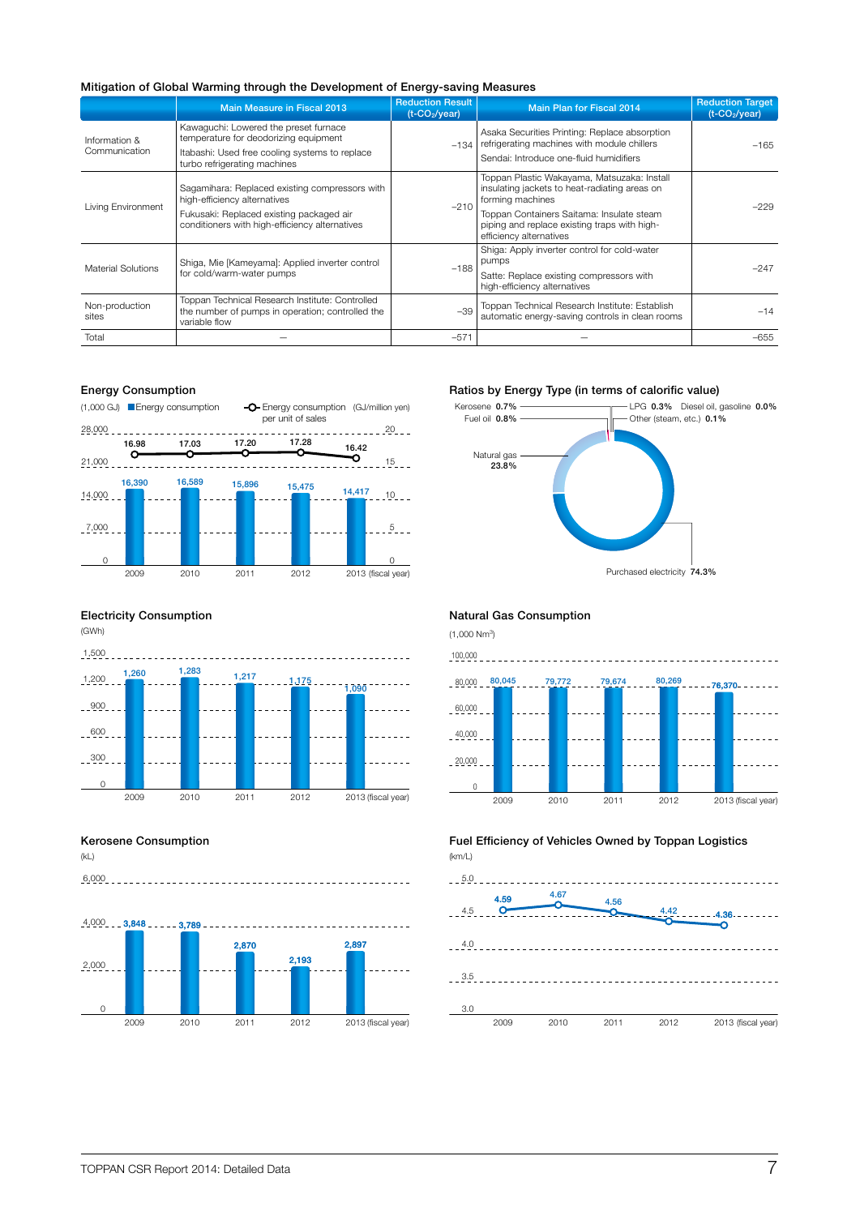### Mitigation of Global Warming through the Development of Energy-saving Measures

|                                                                                                                                                                                                                                                                                                                                                                                                                                                                                                                                                                                                                                                                                                      | Main Measure in Fiscal 2013                                                    | <b>Reduction Result</b><br>$(t$ -CO <sub>2</sub> /year) | <b>Main Plan for Fiscal 2014</b>                                                                  | <b>Reduction Target</b><br>$(t$ -CO <sub>2</sub> /year) |
|------------------------------------------------------------------------------------------------------------------------------------------------------------------------------------------------------------------------------------------------------------------------------------------------------------------------------------------------------------------------------------------------------------------------------------------------------------------------------------------------------------------------------------------------------------------------------------------------------------------------------------------------------------------------------------------------------|--------------------------------------------------------------------------------|---------------------------------------------------------|---------------------------------------------------------------------------------------------------|---------------------------------------------------------|
| Information &                                                                                                                                                                                                                                                                                                                                                                                                                                                                                                                                                                                                                                                                                        | Kawaguchi: Lowered the preset furnace<br>temperature for deodorizing equipment |                                                         | Asaka Securities Printing: Replace absorption<br>refrigerating machines with module chillers      | $-165$                                                  |
| $-134$<br>Communication<br>Itabashi: Used free cooling systems to replace<br>turbo refrigerating machines<br>Sagamihara: Replaced existing compressors with<br>high-efficiency alternatives<br>forming machines<br>$-210$<br>Living Environment<br>Fukusaki: Replaced existing packaged air<br>conditioners with high-efficiency alternatives<br>efficiency alternatives<br>pumps<br>Shiga, Mie [Kameyama]: Applied inverter control<br>$-188$<br><b>Material Solutions</b><br>for cold/warm-water pumps<br>high-efficiency alternatives<br>Toppan Technical Research Institute: Controlled<br>Non-production<br>$-39$<br>the number of pumps in operation; controlled the<br>sites<br>variable flow | Sendai: Introduce one-fluid humidifiers                                        |                                                         |                                                                                                   |                                                         |
|                                                                                                                                                                                                                                                                                                                                                                                                                                                                                                                                                                                                                                                                                                      |                                                                                |                                                         | Toppan Plastic Wakayama, Matsuzaka: Install<br>insulating jackets to heat-radiating areas on      | $-229$                                                  |
|                                                                                                                                                                                                                                                                                                                                                                                                                                                                                                                                                                                                                                                                                                      |                                                                                |                                                         | Toppan Containers Saitama: Insulate steam<br>piping and replace existing traps with high-         |                                                         |
|                                                                                                                                                                                                                                                                                                                                                                                                                                                                                                                                                                                                                                                                                                      |                                                                                |                                                         | Shiga: Apply inverter control for cold-water                                                      | $-247$                                                  |
|                                                                                                                                                                                                                                                                                                                                                                                                                                                                                                                                                                                                                                                                                                      |                                                                                | Satte: Replace existing compressors with                |                                                                                                   |                                                         |
|                                                                                                                                                                                                                                                                                                                                                                                                                                                                                                                                                                                                                                                                                                      |                                                                                |                                                         | Toppan Technical Research Institute: Establish<br>automatic energy-saving controls in clean rooms | $-14$                                                   |
| Total                                                                                                                                                                                                                                                                                                                                                                                                                                                                                                                                                                                                                                                                                                |                                                                                | $-571$                                                  |                                                                                                   | $-655$                                                  |

#### Energy Consumption



#### Electricity Consumption



#### Kerosene Consumption

(kL)

 $6,000$ 



#### Ratios by Energy Type (in terms of calorific value)



#### Natural Gas Consumption

 $(1,000 \text{ Nm}^3)$ 



Fuel Efficiency of Vehicles Owned by Toppan Logistics (km/L)

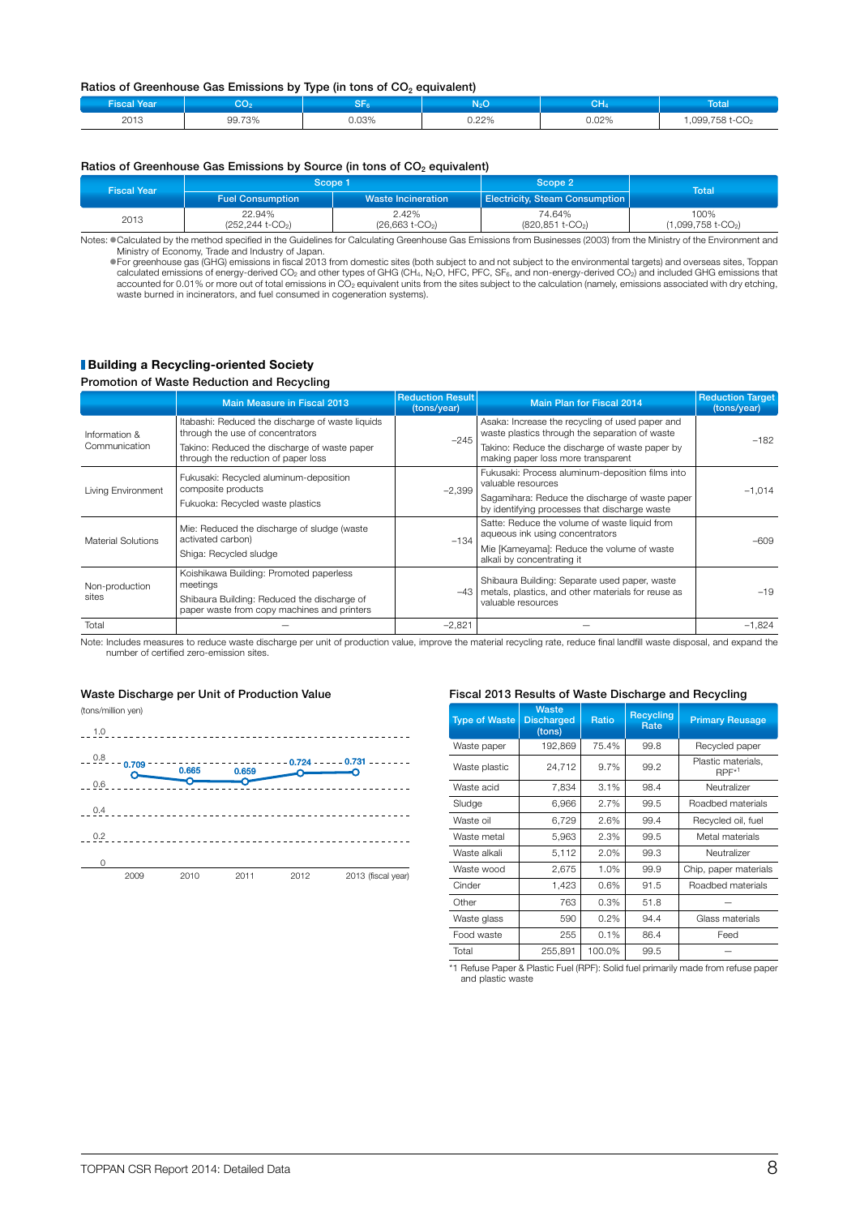#### Ratios of Greenhouse Gas Emissions by Type (in tons of CO<sub>2</sub> equivalent)

| <b>Fiscal Year</b> | $\sim$<br>برير | 52<br>۾ ات | $N_2O$ | $\sim$ 1.1<br>∪Π4 | Total                      |
|--------------------|----------------|------------|--------|-------------------|----------------------------|
| 2013               | 99.73%         | 0.03%      | 0.22%  | 0.02%             | ,099,758 t-CO <sub>2</sub> |

#### Ratios of Greenhouse Gas Emissions by Source (in tons of CO<sub>2</sub> equivalent)

| <b>Fiscal Year</b> | Scope 1                                              |                                        | Scope 2                   | <b>Total</b>                             |  |
|--------------------|------------------------------------------------------|----------------------------------------|---------------------------|------------------------------------------|--|
|                    | <b>Waste Incineration</b><br><b>Fuel Consumption</b> | Electricity, Steam Consumption         |                           |                                          |  |
| 2013               | 22.94%<br>$(252, 244$ t-CO <sub>2</sub> )            | 2.42%<br>$(26,663$ t-CO <sub>2</sub> ) | 74.64%<br>(820,851 t-CO2) | 100%<br>$(1,099,758$ t-CO <sub>2</sub> ) |  |

Notes: Calculated by the method specified in the Guidelines for Calculating Greenhouse Gas Emissions from Businesses (2003) from the Ministry of the Environment and Ministry of Economy, Trade and Industry of Japan.

 $\bullet$  For greenhouse gas (GHG) emissions in fiscal 2013 from domestic sites (both subject to and not subject to the environmental targets) and overseas sites, Toppan<br>calculated emissions of energy-derived CO<sub>2</sub> and other t waste burned in incinerators, and fuel consumed in cogeneration systems).

#### **Building a Recycling-oriented Society**

#### Promotion of Waste Reduction and Recycling

|                           | <b>Main Measure in Fiscal 2013</b>                                                         | <b>Reduction Result</b><br>(tons/year) | Main Plan for Fiscal 2014                                                                           | <b>Reduction Target</b><br>(tons/year) |  |
|---------------------------|--------------------------------------------------------------------------------------------|----------------------------------------|-----------------------------------------------------------------------------------------------------|----------------------------------------|--|
| Information &             | Itabashi: Reduced the discharge of waste liquids<br>through the use of concentrators       | $-245$                                 | Asaka: Increase the recycling of used paper and<br>waste plastics through the separation of waste   |                                        |  |
| Communication             | Takino: Reduced the discharge of waste paper<br>through the reduction of paper loss        |                                        | Takino: Reduce the discharge of waste paper by<br>making paper loss more transparent                | $-182$                                 |  |
|                           | Fukusaki: Recycled aluminum-deposition<br>composite products                               | $-2,399$                               | Fukusaki: Process aluminum-deposition films into<br>valuable resources                              | $-1.014$                               |  |
| Living Environment        | Fukuoka: Recycled waste plastics                                                           |                                        | Sagamihara: Reduce the discharge of waste paper<br>by identifying processes that discharge waste    |                                        |  |
| <b>Material Solutions</b> | Mie: Reduced the discharge of sludge (waste<br>activated carbon)                           | $-134$                                 | Satte: Reduce the volume of waste liquid from<br>aqueous ink using concentrators                    | -609                                   |  |
|                           | Shiga: Recycled sludge                                                                     |                                        | Mie [Kameyama]: Reduce the volume of waste<br>alkali by concentrating it                            |                                        |  |
| Non-production            | Koishikawa Building: Promoted paperless<br>meetings                                        | $-43 $                                 | Shibaura Building: Separate used paper, waste<br>metals, plastics, and other materials for reuse as | $-19$                                  |  |
| sites                     | Shibaura Building: Reduced the discharge of<br>paper waste from copy machines and printers |                                        | valuable resources                                                                                  |                                        |  |
| Total                     |                                                                                            | $-2,821$                               |                                                                                                     | $-1.824$                               |  |

Note: Includes measures to reduce waste discharge per unit of production value, improve the material recycling rate, reduce final landfill waste disposal, and expand the number of certified zero-emission sites.

#### Waste Discharge per Unit of Production Value

(tons/million yen)



#### Fiscal 2013 Results of Waste Discharge and Recycling

| <b>Type of Waste</b> | Waste<br><b>Discharged</b><br>(tons) | Ratio  | Recycling<br>Rate | <b>Primary Reusage</b>        |
|----------------------|--------------------------------------|--------|-------------------|-------------------------------|
| Waste paper          | 192,869                              | 75.4%  | 99.8              | Recycled paper                |
| Waste plastic        | 24,712                               | 9.7%   | 99.2              | Plastic materials,<br>$RPF*1$ |
| Waste acid           | 7,834                                | 3.1%   | 98.4              | Neutralizer                   |
| Sludge               | 6,966                                | 2.7%   | 99.5              | Roadbed materials             |
| Waste oil            | 6,729                                | 2.6%   | 99.4              | Recycled oil, fuel            |
| Waste metal          | 5,963                                | 2.3%   | 99.5              | Metal materials               |
| Waste alkali         | 5,112                                | 2.0%   | 99.3              | Neutralizer                   |
| Waste wood           | 2,675                                | 1.0%   | 99.9              | Chip, paper materials         |
| Cinder               | 1,423                                | 0.6%   | 91.5              | Roadbed materials             |
| Other                | 763                                  | 0.3%   | 51.8              |                               |
| Waste glass          | 590                                  | 0.2%   | 94.4              | Glass materials               |
| Food waste           | 255                                  | 0.1%   | 86.4              | Feed                          |
| Total                | 255,891                              | 100.0% | 99.5              |                               |

\*1 Refuse Paper & Plastic Fuel (RPF): Solid fuel primarily made from refuse paper and plastic waste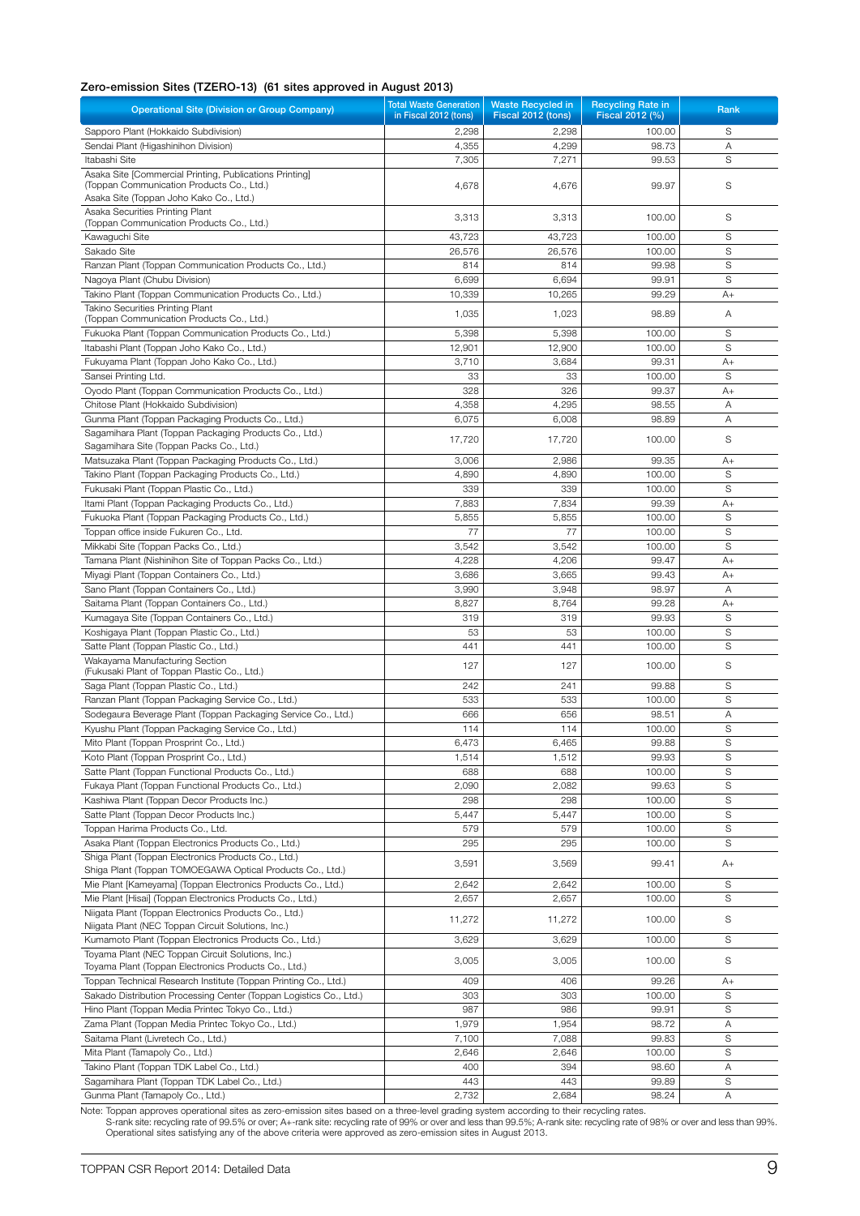## Zero-emission Sites (TZERO-13) (61 sites approved in August 2013)

| <b>Operational Site (Division or Group Company)</b>                                                                                             | <b>Total Waste Generation</b><br>in Fiscal 2012 (tons) | <b>Waste Recycled in</b><br>Fiscal 2012 (tons) | <b>Recycling Rate in</b><br>Fiscal 2012 (%) | Rank |
|-------------------------------------------------------------------------------------------------------------------------------------------------|--------------------------------------------------------|------------------------------------------------|---------------------------------------------|------|
| Sapporo Plant (Hokkaido Subdivision)                                                                                                            | 2,298                                                  | 2,298                                          | 100.00                                      | S    |
| Sendai Plant (Higashinihon Division)                                                                                                            | 4,355                                                  | 4,299                                          | 98.73                                       | Α    |
| Itabashi Site                                                                                                                                   | 7,305                                                  | 7,271                                          | 99.53                                       | S    |
| Asaka Site [Commercial Printing, Publications Printing]<br>(Toppan Communication Products Co., Ltd.)<br>Asaka Site (Toppan Joho Kako Co., Ltd.) | 4,678                                                  | 4,676                                          | 99.97                                       | S    |
| Asaka Securities Printing Plant<br>(Toppan Communication Products Co., Ltd.)                                                                    | 3,313                                                  | 3,313                                          | 100.00                                      | S    |
| Kawaguchi Site                                                                                                                                  | 43,723                                                 | 43,723                                         | 100.00                                      | S    |
| Sakado Site                                                                                                                                     | 26,576                                                 | 26,576                                         | 100.00                                      | S    |
| Ranzan Plant (Toppan Communication Products Co., Ltd.)                                                                                          | 814                                                    | 814                                            | 99.98                                       | S    |
| Nagoya Plant (Chubu Division)                                                                                                                   | 6,699                                                  | 6,694                                          | 99.91                                       | S    |
| Takino Plant (Toppan Communication Products Co., Ltd.)                                                                                          | 10,339                                                 | 10,265                                         | 99.29                                       | A+   |
| Takino Securities Printing Plant<br>(Toppan Communication Products Co., Ltd.)                                                                   | 1,035                                                  | 1,023                                          | 98.89                                       | Α    |
| Fukuoka Plant (Toppan Communication Products Co., Ltd.)                                                                                         | 5,398                                                  | 5,398                                          | 100.00                                      | S    |
| Itabashi Plant (Toppan Joho Kako Co., Ltd.)                                                                                                     | 12,901                                                 | 12,900                                         | 100.00                                      | S    |
| Fukuyama Plant (Toppan Joho Kako Co., Ltd.)                                                                                                     | 3,710                                                  | 3,684                                          | 99.31                                       | $A+$ |
| Sansei Printing Ltd.                                                                                                                            | 33                                                     | 33                                             | 100.00                                      | S    |
| Oyodo Plant (Toppan Communication Products Co., Ltd.)                                                                                           | 328                                                    | 326                                            | 99.37                                       | $A+$ |
| Chitose Plant (Hokkaido Subdivision)                                                                                                            | 4,358                                                  | 4,295                                          | 98.55                                       | Α    |
| Gunma Plant (Toppan Packaging Products Co., Ltd.)                                                                                               | 6,075                                                  | 6,008                                          | 98.89                                       | Α    |
| Sagamihara Plant (Toppan Packaging Products Co., Ltd.)                                                                                          |                                                        |                                                |                                             |      |
| Sagamihara Site (Toppan Packs Co., Ltd.)                                                                                                        | 17,720                                                 | 17,720                                         | 100.00                                      | S    |
| Matsuzaka Plant (Toppan Packaging Products Co., Ltd.)                                                                                           | 3,006                                                  | 2,986                                          | 99.35                                       | $A+$ |
| Takino Plant (Toppan Packaging Products Co., Ltd.)                                                                                              | 4,890                                                  | 4,890                                          | 100.00                                      | S    |
| Fukusaki Plant (Toppan Plastic Co., Ltd.)                                                                                                       | 339                                                    | 339                                            | 100.00                                      | S    |
| Itami Plant (Toppan Packaging Products Co., Ltd.)                                                                                               | 7,883                                                  | 7,834                                          | 99.39                                       | $A+$ |
| Fukuoka Plant (Toppan Packaging Products Co., Ltd.)                                                                                             | 5,855                                                  | 5,855                                          | 100.00                                      | S    |
| Toppan office inside Fukuren Co., Ltd.                                                                                                          | 77                                                     | 77                                             | 100.00                                      | S    |
| Mikkabi Site (Toppan Packs Co., Ltd.)                                                                                                           | 3,542                                                  | 3,542                                          | 100.00                                      | S    |
| Tamana Plant (Nishinihon Site of Toppan Packs Co., Ltd.)                                                                                        | 4,228                                                  | 4,206                                          | 99.47                                       | $A+$ |
| Miyagi Plant (Toppan Containers Co., Ltd.)                                                                                                      | 3,686                                                  | 3,665                                          | 99.43                                       | $A+$ |
| Sano Plant (Toppan Containers Co., Ltd.)                                                                                                        | 3,990                                                  | 3,948                                          | 98.97                                       | Α    |
| Saitama Plant (Toppan Containers Co., Ltd.)                                                                                                     | 8,827                                                  | 8,764                                          | 99.28                                       | $A+$ |
| Kumagaya Site (Toppan Containers Co., Ltd.)                                                                                                     | 319                                                    | 319                                            | 99.93                                       | S    |
| Koshigaya Plant (Toppan Plastic Co., Ltd.)                                                                                                      | 53                                                     | 53                                             | 100.00                                      | S    |
| Satte Plant (Toppan Plastic Co., Ltd.)                                                                                                          | 441                                                    | 441                                            | 100.00                                      | S    |
| Wakayama Manufacturing Section<br>(Fukusaki Plant of Toppan Plastic Co., Ltd.)                                                                  | 127                                                    | 127                                            | 100.00                                      | S    |
| Saga Plant (Toppan Plastic Co., Ltd.)                                                                                                           | 242                                                    | 241                                            | 99.88                                       | S    |
| Ranzan Plant (Toppan Packaging Service Co., Ltd.)                                                                                               | 533                                                    | 533                                            | 100.00                                      | S    |
| Sodegaura Beverage Plant (Toppan Packaging Service Co., Ltd.)                                                                                   | 666                                                    | 656                                            | 98.51                                       | A    |
| Kyushu Plant (Toppan Packaging Service Co., Ltd.)                                                                                               | 114                                                    | 114                                            | 100.00                                      | S    |
| Mito Plant (Toppan Prosprint Co., Ltd.)                                                                                                         | 6,473                                                  | 6,465                                          | 99.88                                       | S    |
| Koto Plant (Toppan Prosprint Co., Ltd.)                                                                                                         | 1,514                                                  | 1,512                                          | 99.93                                       | S    |
| Satte Plant (Toppan Functional Products Co., Ltd.)                                                                                              | 688                                                    | 688                                            | 100.00                                      | S    |
| Fukaya Plant (Toppan Functional Products Co., Ltd.)                                                                                             | 2,090                                                  | 2,082                                          | 99.63                                       | S    |
| Kashiwa Plant (Toppan Decor Products Inc.)                                                                                                      | 298                                                    | 298                                            | 100.00                                      | S    |
| Satte Plant (Toppan Decor Products Inc.)                                                                                                        | 5,447                                                  | 5,447                                          | 100.00                                      | S    |
| Toppan Harima Products Co., Ltd.                                                                                                                | 579                                                    | 579                                            | 100.00                                      | S    |
| Asaka Plant (Toppan Electronics Products Co., Ltd.)                                                                                             | 295                                                    | 295                                            | 100.00                                      | S    |
| Shiga Plant (Toppan Electronics Products Co., Ltd.)                                                                                             |                                                        |                                                |                                             |      |
| Shiga Plant (Toppan TOMOEGAWA Optical Products Co., Ltd.)                                                                                       | 3,591                                                  | 3,569                                          | 99.41                                       | A+   |
| Mie Plant [Kameyama] (Toppan Electronics Products Co., Ltd.)                                                                                    | 2,642                                                  | 2,642                                          | 100.00                                      | S    |
| Mie Plant [Hisai] (Toppan Electronics Products Co., Ltd.)                                                                                       | 2,657                                                  | 2,657                                          | 100.00                                      | S    |
| Niigata Plant (Toppan Electronics Products Co., Ltd.)                                                                                           | 11,272                                                 | 11,272                                         | 100.00                                      | S    |
| Niigata Plant (NEC Toppan Circuit Solutions, Inc.)                                                                                              |                                                        |                                                |                                             |      |
| Kumamoto Plant (Toppan Electronics Products Co., Ltd.)                                                                                          | 3,629                                                  | 3,629                                          | 100.00                                      | S    |
| Toyama Plant (NEC Toppan Circuit Solutions, Inc.)<br>Toyama Plant (Toppan Electronics Products Co., Ltd.)                                       | 3,005                                                  | 3,005                                          | 100.00                                      | S    |
| Toppan Technical Research Institute (Toppan Printing Co., Ltd.)                                                                                 | 409                                                    | 406                                            | 99.26                                       | A+   |
| Sakado Distribution Processing Center (Toppan Logistics Co., Ltd.)                                                                              | 303                                                    | 303                                            | 100.00                                      | S    |
| Hino Plant (Toppan Media Printec Tokyo Co., Ltd.)                                                                                               | 987                                                    | 986                                            | 99.91                                       | S    |
| Zama Plant (Toppan Media Printec Tokyo Co., Ltd.)                                                                                               | 1,979                                                  | 1,954                                          | 98.72                                       | Α    |
| Saitama Plant (Livretech Co., Ltd.)                                                                                                             | 7,100                                                  | 7,088                                          | 99.83                                       | S    |
| Mita Plant (Tamapoly Co., Ltd.)                                                                                                                 | 2,646                                                  | 2,646                                          | 100.00                                      | S    |
| Takino Plant (Toppan TDK Label Co., Ltd.)                                                                                                       | 400                                                    | 394                                            | 98.60                                       | Α    |
| Sagamihara Plant (Toppan TDK Label Co., Ltd.)                                                                                                   | 443                                                    | 443                                            | 99.89                                       | S    |
| Gunma Plant (Tamapoly Co., Ltd.)                                                                                                                | 2,732                                                  | 2,684                                          | 98.24                                       | Α    |

Note: Toppan approves operational sites as zero-emission sites based on a three-level grading system according to their recycling rates.<br>S-rank site: recycling rate of 99.5% or over; A+-rank site: recycling rate of 99% or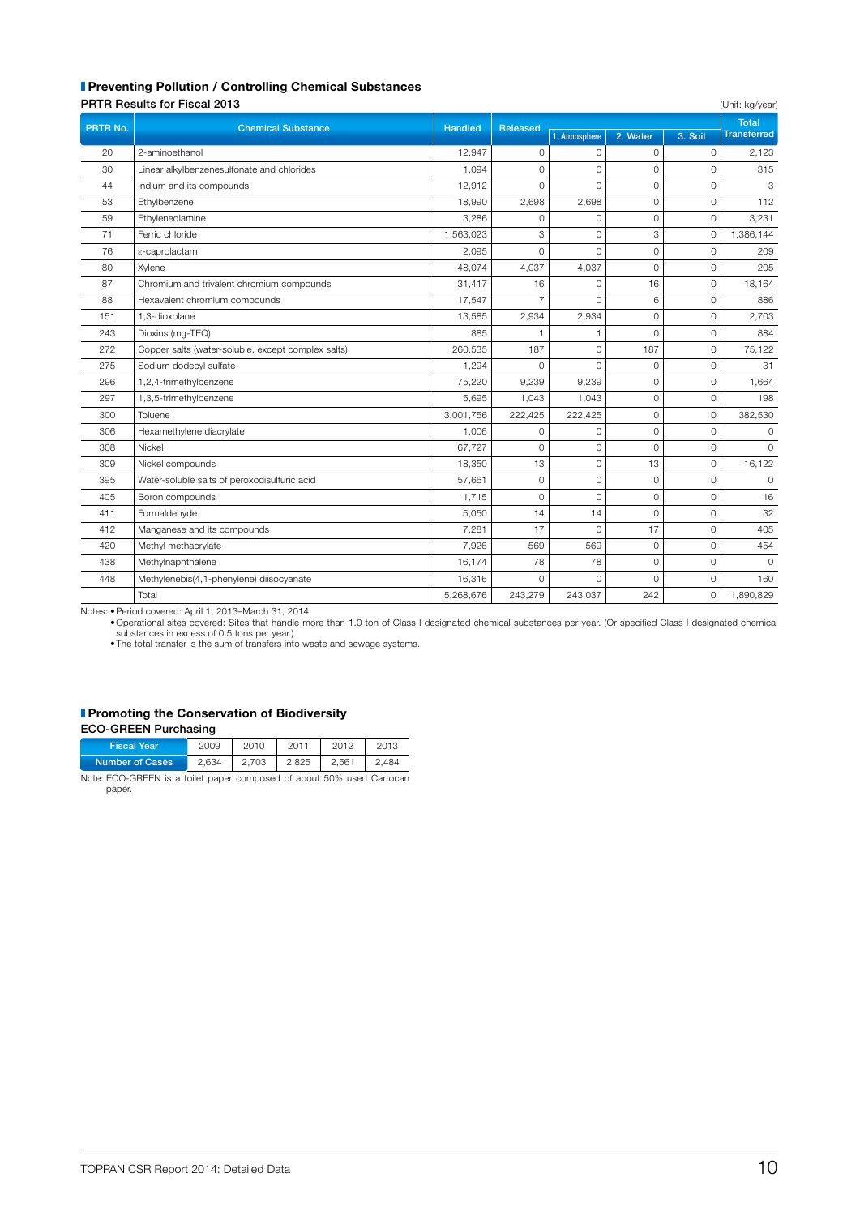## **Preventing Pollution / Controlling Chemical Substances**

| <b>PRTR Results for Fiscal 2013</b> |  |  |
|-------------------------------------|--|--|

|          | <b>PRTR Results for Fiscal 2013</b>                |                |                 |                | (Unit: kg/year) |                     |                    |
|----------|----------------------------------------------------|----------------|-----------------|----------------|-----------------|---------------------|--------------------|
| PRTR No. | <b>Chemical Substance</b>                          | <b>Handled</b> | <b>Released</b> |                |                 |                     | <b>Total</b>       |
|          |                                                    |                |                 | 1. Atmosphere  | 2. Water        | 3. Soil             | <b>Transferred</b> |
| 20       | 2-aminoethanol                                     | 12,947         | $\circ$         | $\circ$        | 0               | $\circ$             | 2,123              |
| 30       | Linear alkylbenzenesulfonate and chlorides         | 1,094          | $\mathbf 0$     | $\Omega$       | $\Omega$        | $\Omega$            | 315                |
| 44       | Indium and its compounds                           | 12,912         | $\Omega$        | $\Omega$       | $\Omega$        | $\Omega$            | 3                  |
| 53       | Ethylbenzene                                       | 18,990         | 2,698           | 2,698          | $\mathbf 0$     | $\circ$             | 112                |
| 59       | Ethylenediamine                                    | 3,286          | $\Omega$        | $\Omega$       | $\Omega$        | $\Omega$            | 3,231              |
| 71       | Ferric chloride                                    | 1,563,023      | 3               | $\Omega$       | 3               | $\mathbf{O}$        | 1,386,144          |
| 76       | ε-caprolactam                                      | 2,095          | $\circ$         | $\Omega$       | 0               | $\mathbf 0$         | 209                |
| 80       | Xylene                                             | 48,074         | 4,037           | 4,037          | $\Omega$        | $\Omega$            | 205                |
| 87       | Chromium and trivalent chromium compounds          | 31,417         | 16              | $\Omega$       | 16              | $\mathbf 0$         | 18,164             |
| 88       | Hexavalent chromium compounds                      | 17,547         | 7               | $\Omega$       | 6               | $\circ$             | 886                |
| 151      | 1,3-dioxolane                                      | 13,585         | 2,934           | 2,934          | 0               | $\circ$             | 2,703              |
| 243      | Dioxins (mg-TEQ)                                   | 885            | 1               | $\overline{1}$ | $\Omega$        | $\circ$             | 884                |
| 272      | Copper salts (water-soluble, except complex salts) | 260,535        | 187             | $\overline{0}$ | 187             | $\mathbf 0$         | 75,122             |
| 275      | Sodium dodecyl sulfate                             | 1,294          | $\Omega$        | $\Omega$       | $\Omega$        | $\Omega$            | 31                 |
| 296      | 1,2,4-trimethylbenzene                             | 75,220         | 9,239           | 9,239          | $\Omega$        | $\Omega$            | 1,664              |
| 297      | 1,3,5-trimethylbenzene                             | 5,695          | 1,043           | 1,043          | $\mathbf 0$     | $\circ$             | 198                |
| 300      | Toluene                                            | 3,001,756      | 222,425         | 222,425        | $\Omega$        | $\circ$             | 382,530            |
| 306      | Hexamethylene diacrylate                           | 1,006          | $\mathbf 0$     | $\circ$        | $\mathbf 0$     | $\mathbf 0$         | $\mathbf 0$        |
| 308      | Nickel                                             | 67,727         | $\Omega$        | $\Omega$       | $\Omega$        | $\Omega$            | $\Omega$           |
| 309      | Nickel compounds                                   | 18,350         | 13              | $\Omega$       | 13              | $\Omega$            | 16,122             |
| 395      | Water-soluble salts of peroxodisulfuric acid       | 57,661         | $\mathbf 0$     | $\mathbf{O}$   | 0               | $\mathbf 0$         | $\circ$            |
| 405      | Boron compounds                                    | 1,715          | $\Omega$        | $\Omega$       | $\Omega$        | $\Omega$            | 16                 |
| 411      | Formaldehyde                                       | 5,050          | 14              | 14             | 0               | $\mathsf{O}\xspace$ | 32                 |
| 412      | Manganese and its compounds                        | 7,281          | 17              | $\Omega$       | 17              | $\mathbf 0$         | 405                |
| 420      | Methyl methacrylate                                | 7,926          | 569             | 569            | $\Omega$        | $\mathbf 0$         | 454                |
| 438      | Methylnaphthalene                                  | 16,174         | 78              | 78             | 0               | $\mathbf 0$         | $\Omega$           |
| 448      | Methylenebis(4,1-phenylene) diisocyanate           | 16,316         | $\circ$         | $\Omega$       | $\Omega$        | $\circ$             | 160                |
|          | Total                                              | 5,268,676      | 243,279         | 243,037        | 242             | $\mathbf 0$         | 1,890,829          |

Notes: •Period covered: April 1, 2013–March 31, 2014

•Operational sites covered: Sites that handle more than 1.0 ton of Class I designated chemical substances per year. (Or specified Class I designated chemical<br>•The total transfer is the sum of transfers into waste and sewag

#### **Promoting the Conservation of Biodiversity**

| <b>ECO-GREEN Purchasing</b> |  |
|-----------------------------|--|
|-----------------------------|--|

paper.

| <b>Fiscal Year</b>                                                    | 2009  | 2010        | 2011 | 2012  | 2013  |
|-----------------------------------------------------------------------|-------|-------------|------|-------|-------|
| <b>Number of Cases</b>                                                | 2.634 | 2.703 2.825 |      | 2.561 | 2.484 |
| Note: ECO-GREEN is a toilet paper composed of about 50% used Cartocan |       |             |      |       |       |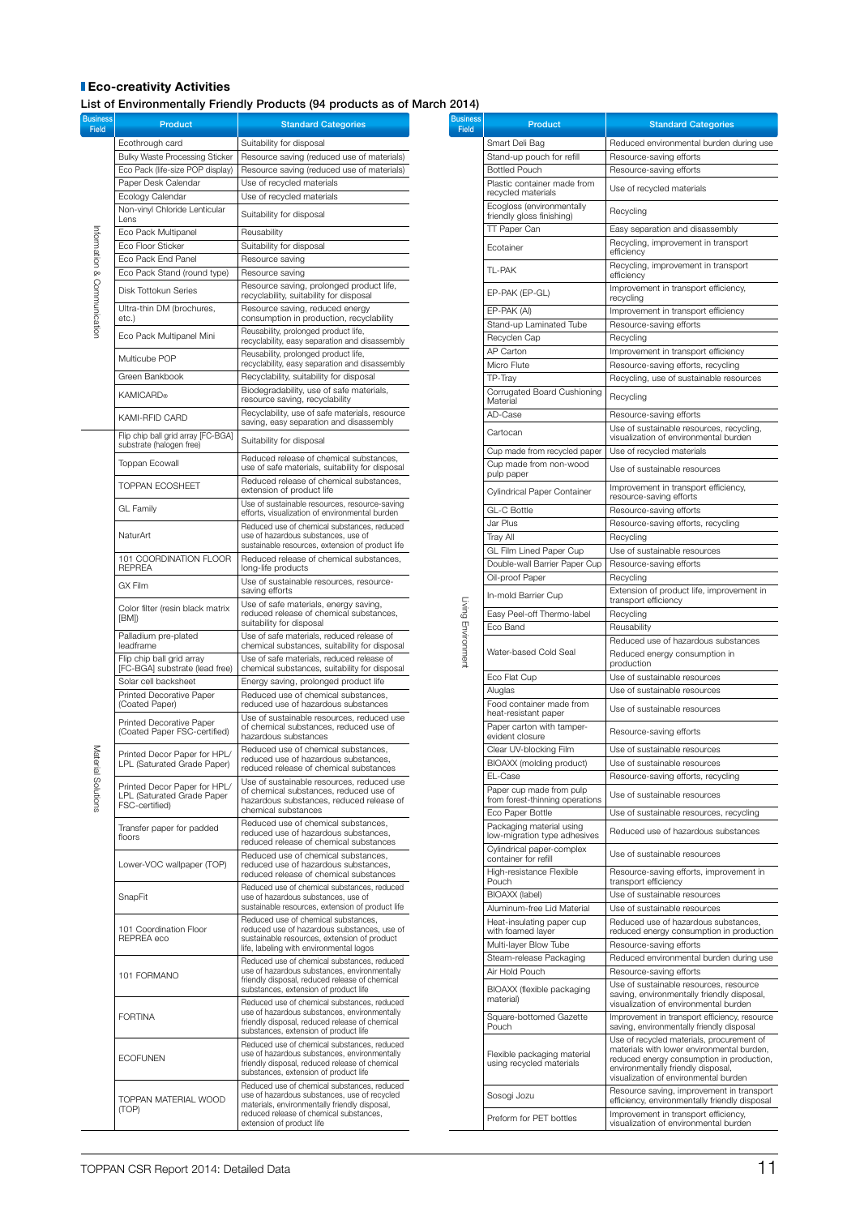## **Eco-creativity Activities**

List of Environmentally Friendly Products (94 products as of March 2014)

Busines<br>Fie

Product **Product Product** Standard Categories

**Ecothrough card Suitability for disposal** 

Information & Communication Information & Communication

ausine<br>I Field

| Bulky Waste Processing Sticker                                               | Resource saving (reduced use of materials)                                                                                                                                                                           |
|------------------------------------------------------------------------------|----------------------------------------------------------------------------------------------------------------------------------------------------------------------------------------------------------------------|
| Eco Pack (life-size POP display)                                             | Resource saving (reduced use of materials)                                                                                                                                                                           |
| Paper Desk Calendar                                                          | Use of recycled materials                                                                                                                                                                                            |
| Ecology Calendar<br>Non-vinyl Chloride Lenticular                            | Use of recycled materials                                                                                                                                                                                            |
| Lens                                                                         | Suitability for disposal                                                                                                                                                                                             |
| Eco Pack Multipanel                                                          | Reusability                                                                                                                                                                                                          |
| Eco Floor Sticker                                                            | Suitability for disposal                                                                                                                                                                                             |
| Eco Pack End Panel                                                           | Resource saving                                                                                                                                                                                                      |
| Eco Pack Stand (round type)                                                  | Resource saving                                                                                                                                                                                                      |
| Disk Tottokun Series                                                         | Resource saving, prolonged product life,<br>recyclability, suitability for disposal                                                                                                                                  |
| Ultra-thin DM (brochures,<br>etc.)                                           | Resource saving, reduced energy<br>consumption in production, recyclability                                                                                                                                          |
| Eco Pack Multipanel Mini                                                     | Reusability, prolonged product life,<br>recyclability, easy separation and disassembly                                                                                                                               |
| Multicube POP                                                                | Reusability, prolonged product life,<br>recyclability, easy separation and disassembly                                                                                                                               |
| Green Bankbook                                                               | Recyclability, suitability for disposal                                                                                                                                                                              |
| <b>KAMICARD®</b>                                                             | Biodegradability, use of safe materials,<br>resource saving, recyclability                                                                                                                                           |
| KAMI-RFID CARD                                                               | Recyclability, use of safe materials, resource<br>saving, easy separation and disassembly                                                                                                                            |
| Flip chip ball grid array [FC-BGA]<br>substrate (halogen free)               | Suitability for disposal                                                                                                                                                                                             |
| Toppan Ecowall                                                               | Reduced release of chemical substances,<br>use of safe materials, suitability for disposal                                                                                                                           |
| <b>TOPPAN ECOSHEET</b>                                                       | Reduced release of chemical substances,<br>extension of product life                                                                                                                                                 |
| <b>GL Family</b>                                                             | Use of sustainable resources, resource-saving<br>efforts, visualization of environmental burden                                                                                                                      |
| NaturArt                                                                     | Reduced use of chemical substances, reduced<br>use of hazardous substances, use of<br>sustainable resources, extension of product life                                                                               |
| 101 COORDINATION FLOOR<br><b>REPREA</b>                                      | Reduced release of chemical substances,<br>long-life products                                                                                                                                                        |
| GX Film                                                                      | Use of sustainable resources, resource-<br>saving efforts                                                                                                                                                            |
| Color filter (resin black matrix<br>[BM])                                    | Use of safe materials, energy saving,<br>reduced release of chemical substances,<br>suitability for disposal                                                                                                         |
| Palladium pre-plated<br>leadframe                                            | Use of safe materials, reduced release of<br>chemical substances, suitability for disposal                                                                                                                           |
| Flip chip ball grid array<br>[FC-BGA] substrate (lead free)                  | Use of safe materials, reduced release of<br>chemical substances, suitability for disposal                                                                                                                           |
| Solar cell backsheet                                                         | Energy saving, prolonged product life                                                                                                                                                                                |
| <b>Printed Decorative Paper</b><br>(Coated Paper)                            | Reduced use of chemical substances,<br>reduced use of hazardous substances                                                                                                                                           |
| <b>Printed Decorative Paper</b><br>(Coated Paper FSC-certified)              | Use of sustainable resources, reduced use<br>of chemical substances, reduced use of<br>hazardous substances                                                                                                          |
| Printed Decor Paper for HPL/<br>LPL (Saturated Grade Paper)                  | Reduced use of chemical substances,<br>reduced use of hazardous substances,<br>reduced release of chemical substances                                                                                                |
| Printed Decor Paper for HPL/<br>LPL (Saturated Grade Paper<br>FSC-certified) | Use of sustainable resources, reduced use<br>of chemical substances, reduced use of<br>hazardous substances, reduced release of                                                                                      |
| Transfer paper for padded                                                    | chemical substances<br>Reduced use of chemical substances,                                                                                                                                                           |
| floors                                                                       | reduced use of hazardous substances,<br>reduced release of chemical substances                                                                                                                                       |
| Lower-VOC wallpaper (TOP)                                                    | Reduced use of chemical substances.<br>reduced use of hazardous substances.<br>reduced release of chemical substances                                                                                                |
| SnapFit                                                                      | Reduced use of chemical substances, reduced<br>use of hazardous substances, use of<br>sustainable resources, extension of product life                                                                               |
| 101 Coordination Floor<br>REPREA eco                                         | Reduced use of chemical substances.<br>reduced use of hazardous substances, use of<br>sustainable resources, extension of product<br>life, labeling with environmental logos                                         |
| 101 FORMANO                                                                  | Reduced use of chemical substances, reduced<br>use of hazardous substances, environmentally<br>friendly disposal, reduced release of chemical<br>substances, extension of product life                               |
| <b>FORTINA</b>                                                               | Reduced use of chemical substances, reduced<br>use of hazardous substances, environmentally<br>friendly disposal, reduced release of chemical<br>substances, extension of product life                               |
| <b>ECOFUNEN</b>                                                              | Reduced use of chemical substances, reduced<br>use of hazardous substances, environmentally<br>friendly disposal, reduced release of chemical<br>substances, extension of product life                               |
| TOPPAN MATERIAL WOOD<br>(TOP)                                                | Reduced use of chemical substances, reduced<br>use of hazardous substances, use of recycled<br>materials, environmentally friendly disposal,<br>reduced release of chemical substances,<br>extension of product life |

| usiness<br><b>Field</b> | <b>Product</b>                                            | <b>Standard Categories</b>                                                                                                                                             |
|-------------------------|-----------------------------------------------------------|------------------------------------------------------------------------------------------------------------------------------------------------------------------------|
|                         | Smart Deli Bag                                            | Reduced environmental burden during use                                                                                                                                |
|                         | Stand-up pouch for refill                                 | Resource-saving efforts                                                                                                                                                |
|                         | <b>Bottled Pouch</b>                                      | Resource-saving efforts                                                                                                                                                |
|                         | Plastic container made from<br>recycled materials         | Use of recycled materials                                                                                                                                              |
|                         | Ecogloss (environmentally<br>friendly gloss finishing)    | Recycling                                                                                                                                                              |
|                         | TT Paper Can                                              | Easy separation and disassembly                                                                                                                                        |
|                         | Ecotainer                                                 | Recycling, improvement in transport<br>efficiency                                                                                                                      |
|                         | TI-PAK                                                    | Recycling, improvement in transport<br>efficiencv                                                                                                                      |
|                         | EP-PAK (EP-GL)                                            | Improvement in transport efficiency,<br>recycling                                                                                                                      |
|                         | EP-PAK (AI)<br>Stand-up Laminated Tube                    | Improvement in transport efficiency<br>Resource-saving efforts                                                                                                         |
|                         | Recyclen Cap                                              | Recycling                                                                                                                                                              |
|                         | AP Carton                                                 | Improvement in transport efficiency                                                                                                                                    |
|                         | Micro Flute                                               | Resource-saving efforts, recycling                                                                                                                                     |
|                         | TP-Tray                                                   | Recycling, use of sustainable resources                                                                                                                                |
|                         | Corrugated Board Cushioning<br>Material                   | Recycling                                                                                                                                                              |
|                         | AD-Case                                                   | Resource-saving efforts                                                                                                                                                |
|                         | Cartocan                                                  | Use of sustainable resources, recycling,<br>visualization of environmental burden                                                                                      |
|                         | Cup made from recycled paper                              | Use of recycled materials                                                                                                                                              |
|                         | Cup made from non-wood<br>pulp paper                      | Use of sustainable resources                                                                                                                                           |
|                         | Cylindrical Paper Container                               | Improvement in transport efficiency.<br>resource-saving efforts                                                                                                        |
|                         | <b>GL-C Bottle</b>                                        | Resource-saving efforts                                                                                                                                                |
|                         | Jar Plus                                                  | Resource-saving efforts, recycling                                                                                                                                     |
|                         | Tray All                                                  | Recycling                                                                                                                                                              |
|                         | GL Film Lined Paper Cup<br>Double-wall Barrier Paper Cup  | Use of sustainable resources<br>Resource-saving efforts                                                                                                                |
|                         | Oil-proof Paper                                           | Recycling                                                                                                                                                              |
|                         |                                                           | Extension of product life, improvement in                                                                                                                              |
|                         | In-mold Barrier Cup                                       | transport efficiency                                                                                                                                                   |
|                         | Easy Peel-off Thermo-label<br>Eco Band                    | Recycling<br>Reusability                                                                                                                                               |
|                         |                                                           | Reduced use of hazardous substances                                                                                                                                    |
| Living Environment      | Water-based Cold Seal                                     | Reduced energy consumption in                                                                                                                                          |
|                         | Eco Flat Cup                                              | production<br>Use of sustainable resources                                                                                                                             |
|                         | Aluglas                                                   | Use of sustainable resources                                                                                                                                           |
|                         | Food container made from                                  | Use of sustainable resources                                                                                                                                           |
|                         | heat-resistant paper<br>Paper carton with tamper-         |                                                                                                                                                                        |
|                         | evident closure<br>Clear UV-blocking Film                 | Resource-saving efforts<br>Use of sustainable resources                                                                                                                |
|                         | BIOAXX (molding product)                                  | Use of sustainable resources                                                                                                                                           |
|                         | EL-Case                                                   | Resource-saving efforts, recycling                                                                                                                                     |
|                         | Paper cup made from pulp                                  | Use of sustainable resources                                                                                                                                           |
|                         | from forest-thinning operations<br>Eco Paper Bottle       | Use of sustainable resources, recycling                                                                                                                                |
|                         | Packaging material using                                  |                                                                                                                                                                        |
|                         | low-migration type adhesives<br>Cylindrical paper-complex | Reduced use of hazardous substances                                                                                                                                    |
|                         | container for refill                                      | Use of sustainable resources                                                                                                                                           |
|                         | High-resistance Flexible<br>Pouch                         | Resource-saving efforts, improvement in<br>transport efficiency                                                                                                        |
|                         | <b>BIOAXX</b> (label)                                     | Use of sustainable resources                                                                                                                                           |
|                         | Aluminum-free Lid Material                                | Use of sustainable resources                                                                                                                                           |
|                         | Heat-insulating paper cup<br>with foamed layer            | Reduced use of hazardous substances,<br>reduced energy consumption in production                                                                                       |
|                         | Multi-layer Blow Tube                                     | Resource-saving efforts                                                                                                                                                |
|                         | Steam-release Packaging                                   | Reduced environmental burden during use                                                                                                                                |
|                         | Air Hold Pouch                                            | Resource-saving efforts                                                                                                                                                |
|                         | BIOAXX (flexible packaging<br>material)                   | Use of sustainable resources, resource<br>saving, environmentally friendly disposal,<br>visualization of environmental burden                                          |
|                         | Square-bottomed Gazette<br>Pouch                          | Improvement in transport efficiency, resource<br>saving, environmentally friendly disposal                                                                             |
|                         |                                                           | Use of recycled materials, procurement of                                                                                                                              |
|                         | Flexible packaging material<br>using recycled materials   | materials with lower environmental burden,<br>reduced energy consumption in production,<br>environmentally friendly disposal,<br>visualization of environmental burden |
|                         | Sosogi Jozu                                               | Resource saving, improvement in transport<br>efficiency, environmentally friendly disposal                                                                             |
|                         | Preform for PET bottles                                   | Improvement in transport efficiency,<br>visualization of environmental burden                                                                                          |